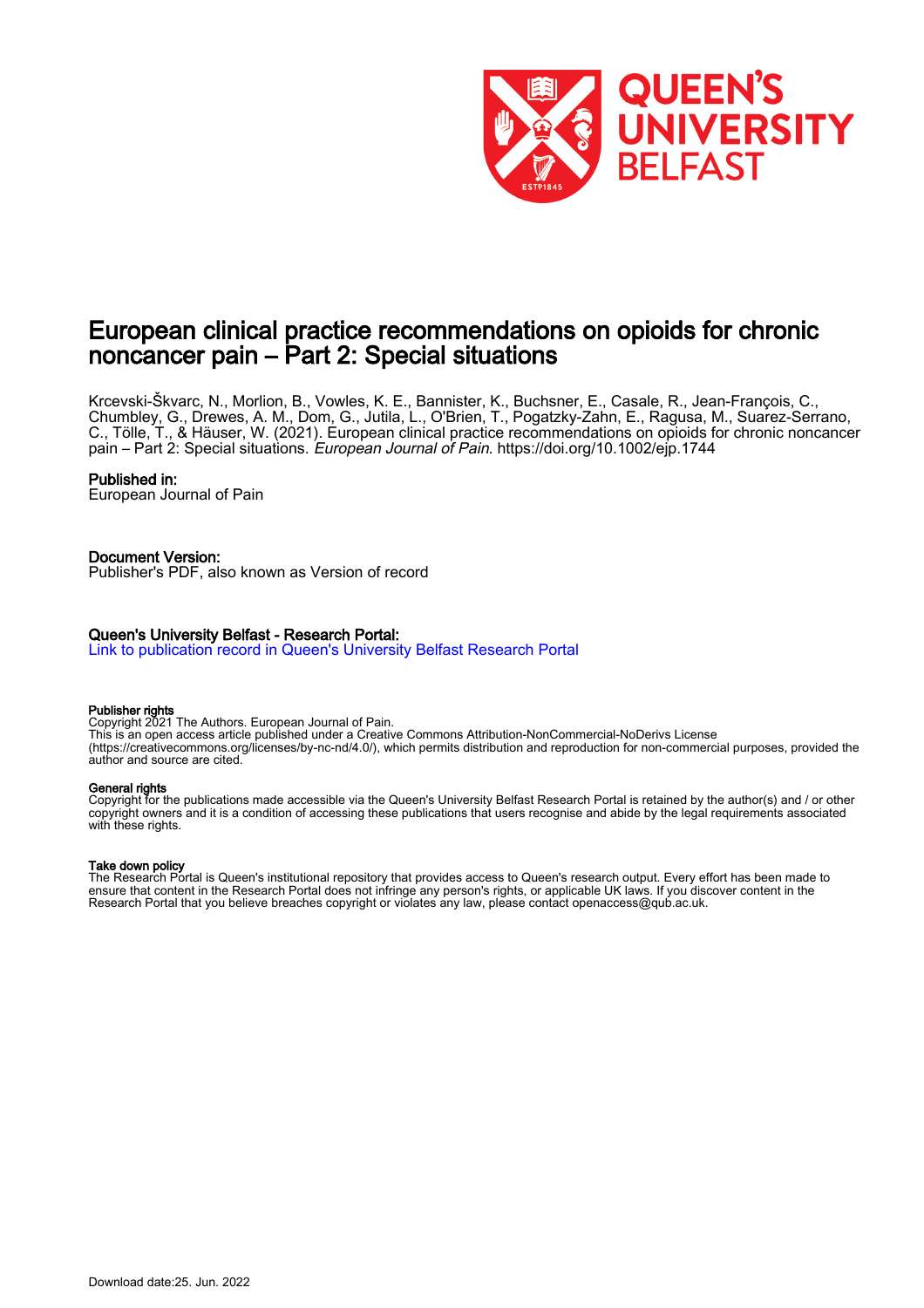

## European clinical practice recommendations on opioids for chronic noncancer pain – Part 2: Special situations

Krcevski-Škvarc, N., Morlion, B., Vowles, K. E., Bannister, K., Buchsner, E., Casale, R., Jean-François, C., Chumbley, G., Drewes, A. M., Dom, G., Jutila, L., O'Brien, T., Pogatzky-Zahn, E., Ragusa, M., Suarez-Serrano, C., Tölle, T., & Häuser, W. (2021). European clinical practice recommendations on opioids for chronic noncancer pain – Part 2: Special situations. European Journal of Pain.<https://doi.org/10.1002/ejp.1744>

#### Published in:

European Journal of Pain

#### Document Version:

Publisher's PDF, also known as Version of record

### Queen's University Belfast - Research Portal:

[Link to publication record in Queen's University Belfast Research Portal](https://pure.qub.ac.uk/en/publications/32248d12-de85-47d1-a052-a2794f8c22c3)

#### Publisher rights

Copyright 2021 The Authors. European Journal of Pain. This is an open access article published under a Creative Commons Attribution-NonCommercial-NoDerivs License (https://creativecommons.org/licenses/by-nc-nd/4.0/), which permits distribution and reproduction for non-commercial purposes, provided the author and source are cited.

#### General rights

Copyright for the publications made accessible via the Queen's University Belfast Research Portal is retained by the author(s) and / or other copyright owners and it is a condition of accessing these publications that users recognise and abide by the legal requirements associated with these rights.

#### Take down policy

The Research Portal is Queen's institutional repository that provides access to Queen's research output. Every effort has been made to ensure that content in the Research Portal does not infringe any person's rights, or applicable UK laws. If you discover content in the Research Portal that you believe breaches copyright or violates any law, please contact openaccess@qub.ac.uk.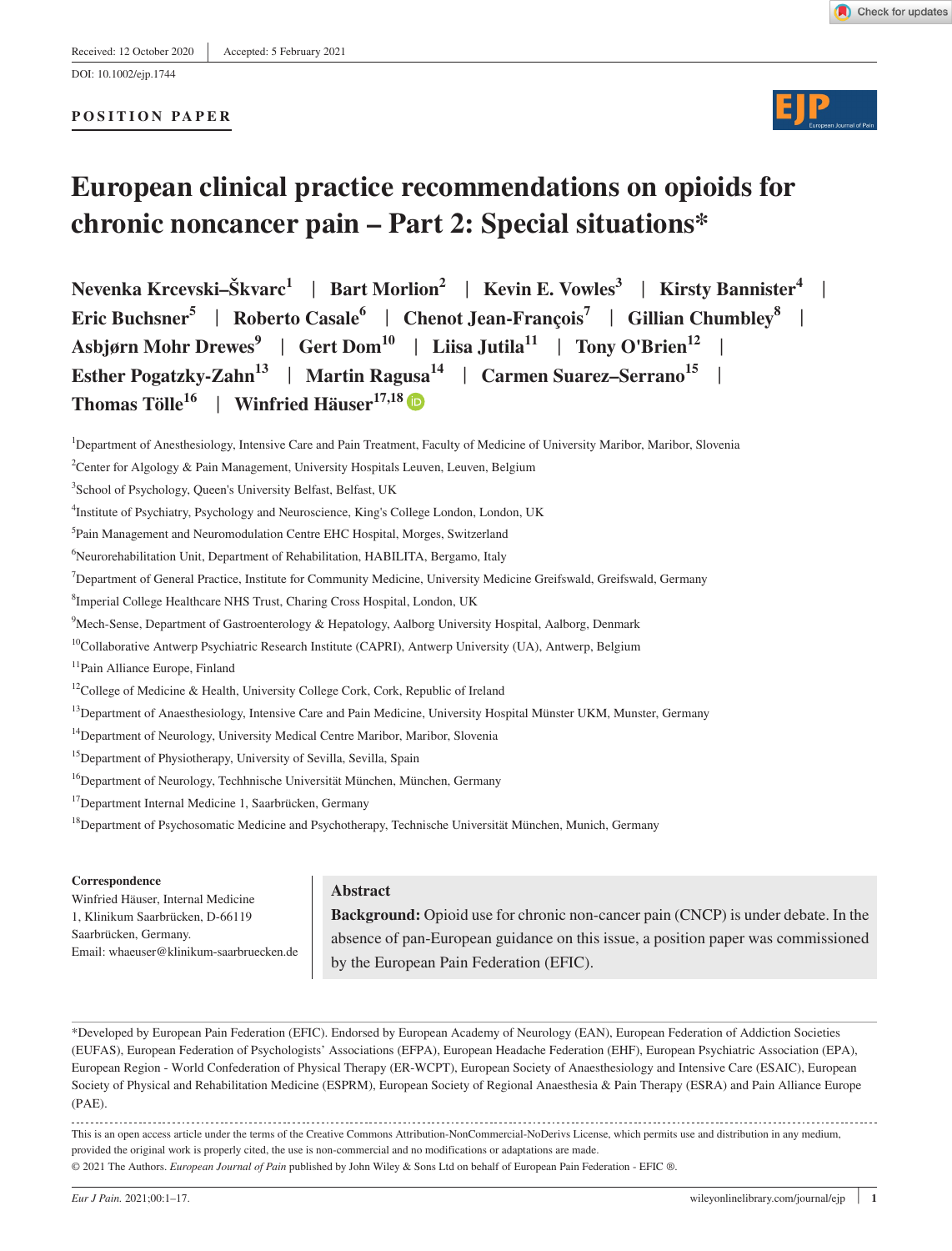#### **POSITION PAPER**





# **European clinical practice recommendations on opioids for chronic noncancer pain – Part 2: Special situations\***

**Nevenka Krcevski–Škvarc1** | **Bart Morlion<sup>2</sup>** | **Kevin E. Vowles3** | **Kirsty Bannister4** | **Eric Buchsner<sup>5</sup>** | **Roberto Casale6** | **Chenot Jean-François7** | **Gillian Chumbley8** | **Asbjørn Mohr Drewes<sup>9</sup>** | **Gert Dom10** | **Liisa Jutila11** | **Tony O'Brien12** | **Esther Pogatzky-Zahn<sup>13</sup>** | **Martin Ragusa<sup>14</sup>** | **Carmen Suarez–Serrano15** | **Thomas Tölle**<sup>16</sup> | Winfried Häuser<sup>17,1[8](https://orcid.org/0000-0002-3742-729X)</sup>

- <sup>13</sup>Department of Anaesthesiology, Intensive Care and Pain Medicine, University Hospital Münster UKM, Munster, Germany
- <sup>14</sup>Department of Neurology, University Medical Centre Maribor, Maribor, Slovenia
- <sup>15</sup>Department of Physiotherapy, University of Sevilla, Sevilla, Spain
- <sup>16</sup>Department of Neurology, Techhnische Universität München, München, Germany
- <sup>17</sup>Department Internal Medicine 1, Saarbrücken, Germany
- <sup>18</sup>Department of Psychosomatic Medicine and Psychotherapy, Technische Universität München, Munich, Germany

#### **Correspondence**

Winfried Häuser, Internal Medicine 1, Klinikum Saarbrücken, D-66119 Saarbrücken, Germany. Email: [whaeuser@klinikum-saarbruecken.de](mailto:whaeuser@klinikum-saarbruecken.de)

## **Abstract**

**Background:** Opioid use for chronic non-cancer pain (CNCP) is under debate. In the absence of pan-European guidance on this issue, a position paper was commissioned by the European Pain Federation (EFIC).

\*Developed by European Pain Federation (EFIC). Endorsed by European Academy of Neurology (EAN), European Federation of Addiction Societies (EUFAS), European Federation of Psychologists' Associations (EFPA), European Headache Federation (EHF), European Psychiatric Association (EPA), European Region - World Confederation of Physical Therapy (ER-WCPT), European Society of Anaesthesiology and Intensive Care (ESAIC), European Society of Physical and Rehabilitation Medicine (ESPRM), European Society of Regional Anaesthesia & Pain Therapy (ESRA) and Pain Alliance Europe (PAE).

This is an open access article under the terms of the [Creative Commons Attribution-NonCommercial-NoDerivs](http://creativecommons.org/licenses/by-nc-nd/4.0/) License, which permits use and distribution in any medium, provided the original work is properly cited, the use is non-commercial and no modifications or adaptations are made. © 2021 The Authors. *European Journal of Pain* published by John Wiley & Sons Ltd on behalf of European Pain Federation - EFIC ®.

<sup>&</sup>lt;sup>1</sup>Department of Anesthesiology, Intensive Care and Pain Treatment, Faculty of Medicine of University Maribor, Maribor, Slovenia

<sup>&</sup>lt;sup>2</sup>Center for Algology & Pain Management, University Hospitals Leuven, Leuven, Belgium

<sup>&</sup>lt;sup>3</sup>School of Psychology, Queen's University Belfast, Belfast, UK

<sup>4</sup> Institute of Psychiatry, Psychology and Neuroscience, King's College London, London, UK

<sup>5</sup> Pain Management and Neuromodulation Centre EHC Hospital, Morges, Switzerland

<sup>6</sup> Neurorehabilitation Unit, Department of Rehabilitation, HABILITA, Bergamo, Italy

<sup>7</sup> Department of General Practice, Institute for Community Medicine, University Medicine Greifswald, Greifswald, Germany

<sup>8</sup> Imperial College Healthcare NHS Trust, Charing Cross Hospital, London, UK

<sup>9</sup> Mech-Sense, Department of Gastroenterology & Hepatology, Aalborg University Hospital, Aalborg, Denmark

<sup>&</sup>lt;sup>10</sup>Collaborative Antwerp Psychiatric Research Institute (CAPRI), Antwerp University (UA), Antwerp, Belgium

<sup>&</sup>lt;sup>11</sup>Pain Alliance Europe, Finland

<sup>&</sup>lt;sup>12</sup>College of Medicine & Health, University College Cork, Cork, Republic of Ireland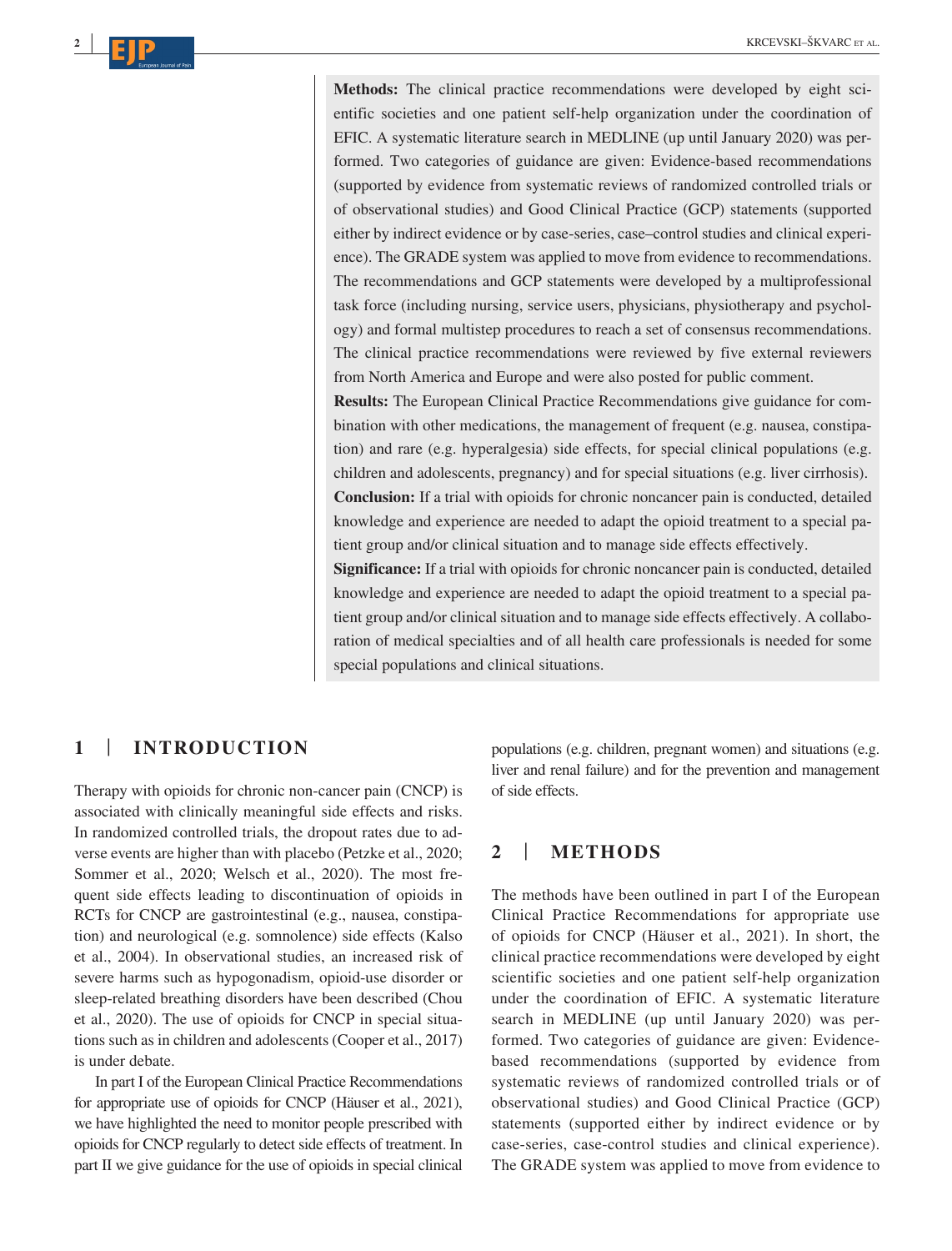**Methods:** The clinical practice recommendations were developed by eight scientific societies and one patient self-help organization under the coordination of EFIC. A systematic literature search in MEDLINE (up until January 2020) was performed. Two categories of guidance are given: Evidence-based recommendations (supported by evidence from systematic reviews of randomized controlled trials or of observational studies) and Good Clinical Practice (GCP) statements (supported either by indirect evidence or by case-series, case–control studies and clinical experience). The GRADE system was applied to move from evidence to recommendations. The recommendations and GCP statements were developed by a multiprofessional task force (including nursing, service users, physicians, physiotherapy and psychology) and formal multistep procedures to reach a set of consensus recommendations. The clinical practice recommendations were reviewed by five external reviewers from North America and Europe and were also posted for public comment.

**Results:** The European Clinical Practice Recommendations give guidance for combination with other medications, the management of frequent (e.g. nausea, constipation) and rare (e.g. hyperalgesia) side effects, for special clinical populations (e.g. children and adolescents, pregnancy) and for special situations (e.g. liver cirrhosis). **Conclusion:** If a trial with opioids for chronic noncancer pain is conducted, detailed knowledge and experience are needed to adapt the opioid treatment to a special patient group and/or clinical situation and to manage side effects effectively.

**Significance:** If a trial with opioids for chronic noncancer pain is conducted, detailed knowledge and experience are needed to adapt the opioid treatment to a special patient group and/or clinical situation and to manage side effects effectively. A collaboration of medical specialties and of all health care professionals is needed for some special populations and clinical situations.

## **1** | **INTRODUCTION**

**<sup>2</sup> <sup>|</sup>**

Therapy with opioids for chronic non-cancer pain (CNCP) is associated with clinically meaningful side effects and risks. In randomized controlled trials, the dropout rates due to adverse events are higher than with placebo (Petzke et al., 2020; Sommer et al., 2020; Welsch et al., 2020). The most frequent side effects leading to discontinuation of opioids in RCTs for CNCP are gastrointestinal (e.g., nausea, constipation) and neurological (e.g. somnolence) side effects (Kalso et al., 2004). In observational studies, an increased risk of severe harms such as hypogonadism, opioid-use disorder or sleep-related breathing disorders have been described (Chou et al., 2020). The use of opioids for CNCP in special situations such as in children and adolescents (Cooper et al., 2017) is under debate.

In part I of the European Clinical Practice Recommendations for appropriate use of opioids for CNCP (Häuser et al., 2021), we have highlighted the need to monitor people prescribed with opioids for CNCP regularly to detect side effects of treatment. In part II we give guidance for the use of opioids in special clinical

populations (e.g. children, pregnant women) and situations (e.g. liver and renal failure) and for the prevention and management of side effects.

## **2** | **METHODS**

The methods have been outlined in part I of the European Clinical Practice Recommendations for appropriate use of opioids for CNCP (Häuser et al., 2021). In short, the clinical practice recommendations were developed by eight scientific societies and one patient self-help organization under the coordination of EFIC. A systematic literature search in MEDLINE (up until January 2020) was performed. Two categories of guidance are given: Evidencebased recommendations (supported by evidence from systematic reviews of randomized controlled trials or of observational studies) and Good Clinical Practice (GCP) statements (supported either by indirect evidence or by case-series, case-control studies and clinical experience). The GRADE system was applied to move from evidence to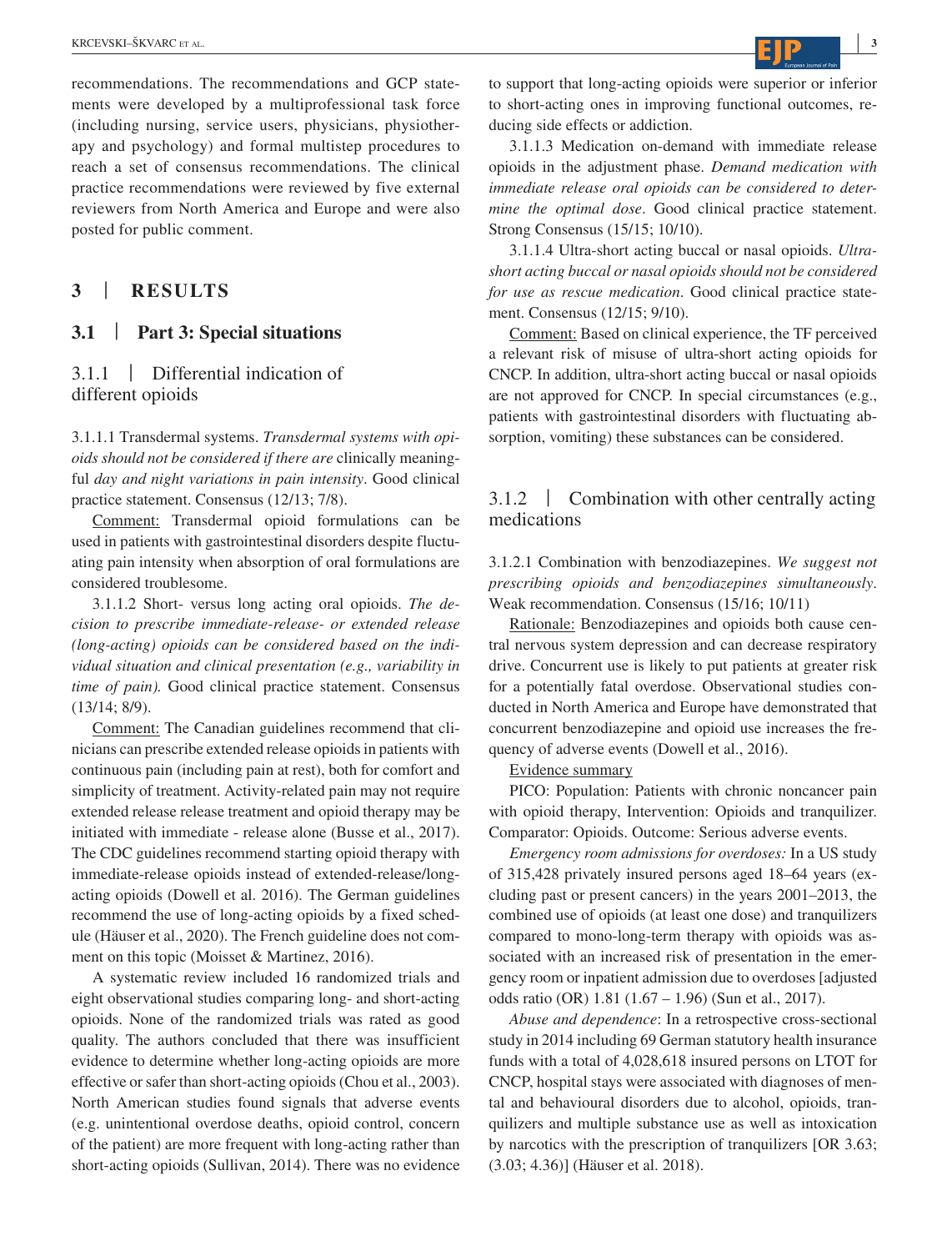recommendations. The recommendations and GCP statements were developed by a multiprofessional task force (including nursing, service users, physicians, physiotherapy and psychology) and formal multistep procedures to reach a set of consensus recommendations. The clinical practice recommendations were reviewed by five external reviewers from North America and Europe and were also posted for public comment.

## **3** | **RESULTS**

## **3.1** | **Part 3: Special situations**

## 3.1.1 | Differential indication of different opioids

3.1.1.1 Transdermal systems. *Transdermal systems with opioids should not be considered if there are* clinically meaningful *day and night variations in pain intensity*. Good clinical practice statement. Consensus (12/13; 7/8).

Comment: Transdermal opioid formulations can be used in patients with gastrointestinal disorders despite fluctuating pain intensity when absorption of oral formulations are considered troublesome.

3.1.1.2 Short- versus long acting oral opioids. *The decision to prescribe immediate-release- or extended release (long-acting) opioids can be considered based on the individual situation and clinical presentation (e.g., variability in time of pain).* Good clinical practice statement. Consensus (13/14; 8/9).

Comment: The Canadian guidelines recommend that clinicians can prescribe extended release opioids in patients with continuous pain (including pain at rest), both for comfort and simplicity of treatment. Activity-related pain may not require extended release release treatment and opioid therapy may be initiated with immediate - release alone (Busse et al., 2017). The CDC guidelines recommend starting opioid therapy with immediate-release opioids instead of extended-release/longacting opioids (Dowell et al. 2016). The German guidelines recommend the use of long-acting opioids by a fixed schedule (Häuser et al., 2020). The French guideline does not comment on this topic (Moisset & Martinez, 2016).

A systematic review included 16 randomized trials and eight observational studies comparing long- and short-acting opioids. None of the randomized trials was rated as good quality. The authors concluded that there was insufficient evidence to determine whether long-acting opioids are more effective or safer than short-acting opioids (Chou et al., 2003). North American studies found signals that adverse events (e.g. unintentional overdose deaths, opioid control, concern of the patient) are more frequent with long-acting rather than short-acting opioids (Sullivan, 2014). There was no evidence

to support that long-acting opioids were superior or inferior to short-acting ones in improving functional outcomes, reducing side effects or addiction.

3.1.1.3 Medication on-demand with immediate release opioids in the adjustment phase. *Demand medication with immediate release oral opioids can be considered to determine the optimal dose*. Good clinical practice statement. Strong Consensus (15/15; 10/10).

3.1.1.4 Ultra-short acting buccal or nasal opioids. *Ultrashort acting buccal or nasal opioids should not be considered for use as rescue medication*. Good clinical practice statement. Consensus (12/15; 9/10).

Comment: Based on clinical experience, the TF perceived a relevant risk of misuse of ultra-short acting opioids for CNCP. In addition, ultra-short acting buccal or nasal opioids are not approved for CNCP. In special circumstances (e.g., patients with gastrointestinal disorders with fluctuating absorption, vomiting) these substances can be considered.

## 3.1.2 | Combination with other centrally acting medications

3.1.2.1 Combination with benzodiazepines. *We suggest not prescribing opioids and benzodiazepines simultaneously*. Weak recommendation. Consensus (15/16; 10/11)

Rationale: Benzodiazepines and opioids both cause central nervous system depression and can decrease respiratory drive. Concurrent use is likely to put patients at greater risk for a potentially fatal overdose. Observational studies conducted in North America and Europe have demonstrated that concurrent benzodiazepine and opioid use increases the frequency of adverse events (Dowell et al., 2016).

Evidence summary

PICO: Population: Patients with chronic noncancer pain with opioid therapy, Intervention: Opioids and tranquilizer. Comparator: Opioids. Outcome: Serious adverse events.

*Emergency room admissions for overdoses:* In a US study of 315,428 privately insured persons aged 18–64 years (excluding past or present cancers) in the years 2001–2013, the combined use of opioids (at least one dose) and tranquilizers compared to mono-long-term therapy with opioids was associated with an increased risk of presentation in the emergency room or inpatient admission due to overdoses [adjusted odds ratio (OR) 1.81 (1.67 – 1.96) (Sun et al., 2017).

*Abuse and dependence*: In a retrospective cross-sectional study in 2014 including 69 German statutory health insurance funds with a total of 4,028,618 insured persons on LTOT for CNCP, hospital stays were associated with diagnoses of mental and behavioural disorders due to alcohol, opioids, tranquilizers and multiple substance use as well as intoxication by narcotics with the prescription of tranquilizers [OR 3.63; (3.03; 4.36)] (Häuser et al. 2018).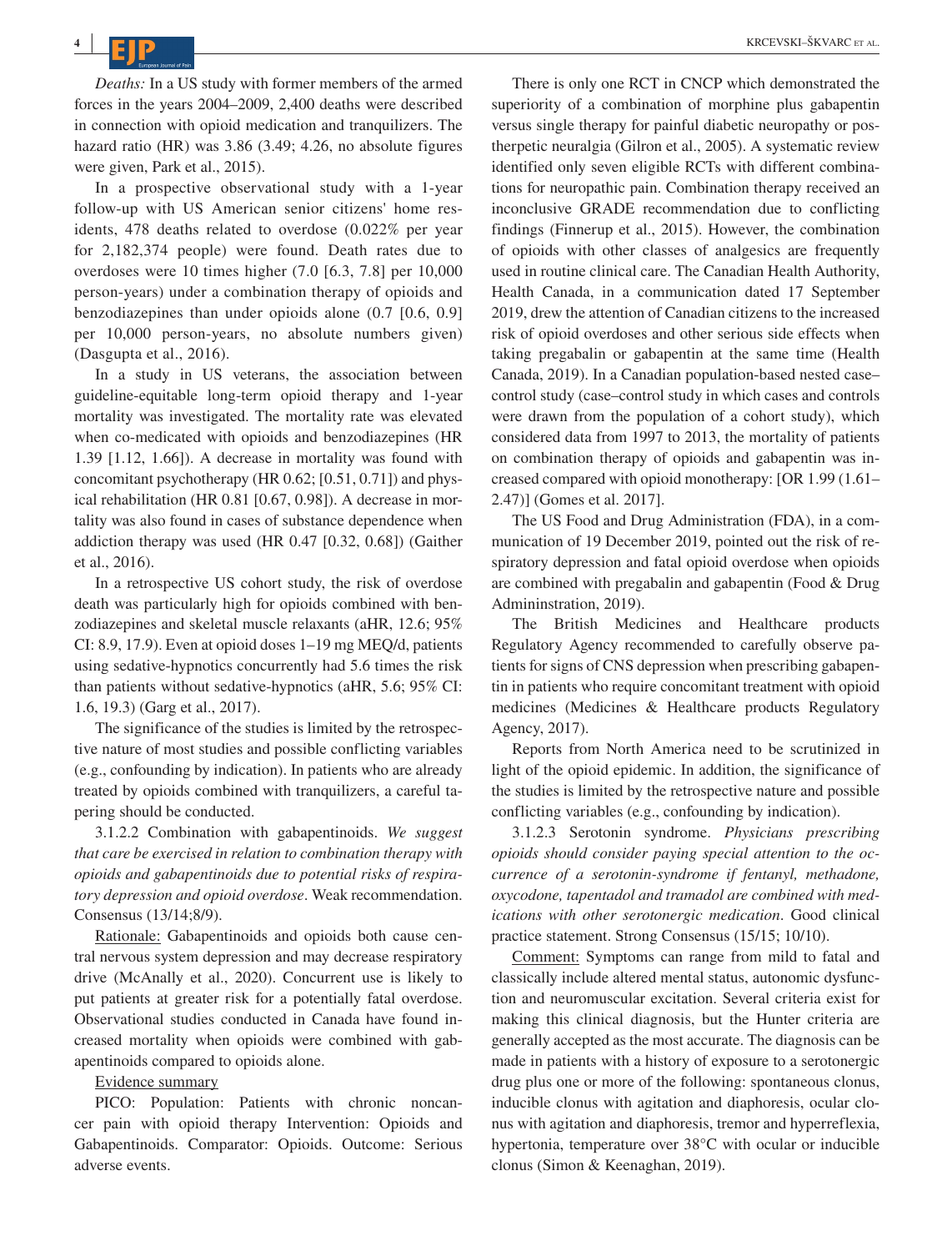*Deaths:* In a US study with former members of the armed forces in the years 2004–2009, 2,400 deaths were described in connection with opioid medication and tranquilizers. The hazard ratio (HR) was 3.86 (3.49; 4.26, no absolute figures were given, Park et al., 2015).

In a prospective observational study with a 1-year follow-up with US American senior citizens' home residents, 478 deaths related to overdose (0.022% per year for 2,182,374 people) were found. Death rates due to overdoses were 10 times higher (7.0 [6.3, 7.8] per 10,000 person-years) under a combination therapy of opioids and benzodiazepines than under opioids alone (0.7 [0.6, 0.9] per 10,000 person-years, no absolute numbers given) (Dasgupta et al., 2016).

In a study in US veterans, the association between guideline-equitable long-term opioid therapy and 1-year mortality was investigated. The mortality rate was elevated when co-medicated with opioids and benzodiazepines (HR 1.39 [1.12, 1.66]). A decrease in mortality was found with concomitant psychotherapy (HR 0.62; [0.51, 0.71]) and physical rehabilitation (HR 0.81 [0.67, 0.98]). A decrease in mortality was also found in cases of substance dependence when addiction therapy was used (HR 0.47 [0.32, 0.68]) (Gaither et al., 2016).

In a retrospective US cohort study, the risk of overdose death was particularly high for opioids combined with benzodiazepines and skeletal muscle relaxants (aHR, 12.6; 95% CI: 8.9, 17.9). Even at opioid doses 1–19 mg MEQ/d, patients using sedative-hypnotics concurrently had 5.6 times the risk than patients without sedative-hypnotics (aHR, 5.6; 95% CI: 1.6, 19.3) (Garg et al., 2017).

The significance of the studies is limited by the retrospective nature of most studies and possible conflicting variables (e.g., confounding by indication). In patients who are already treated by opioids combined with tranquilizers, a careful tapering should be conducted.

3.1.2.2 Combination with gabapentinoids. *We suggest that care be exercised in relation to combination therapy with opioids and gabapentinoids due to potential risks of respiratory depression and opioid overdose*. Weak recommendation. Consensus (13/14;8/9).

Rationale: Gabapentinoids and opioids both cause central nervous system depression and may decrease respiratory drive (McAnally et al., 2020). Concurrent use is likely to put patients at greater risk for a potentially fatal overdose. Observational studies conducted in Canada have found increased mortality when opioids were combined with gabapentinoids compared to opioids alone.

#### Evidence summary

PICO: Population: Patients with chronic noncancer pain with opioid therapy Intervention: Opioids and Gabapentinoids. Comparator: Opioids. Outcome: Serious adverse events.

There is only one RCT in CNCP which demonstrated the superiority of a combination of morphine plus gabapentin versus single therapy for painful diabetic neuropathy or postherpetic neuralgia (Gilron et al., 2005). A systematic review identified only seven eligible RCTs with different combinations for neuropathic pain. Combination therapy received an inconclusive GRADE recommendation due to conflicting findings (Finnerup et al., 2015). However, the combination of opioids with other classes of analgesics are frequently used in routine clinical care. The Canadian Health Authority, Health Canada, in a communication dated 17 September 2019, drew the attention of Canadian citizens to the increased risk of opioid overdoses and other serious side effects when taking pregabalin or gabapentin at the same time (Health Canada, 2019). In a Canadian population-based nested case– control study (case–control study in which cases and controls were drawn from the population of a cohort study), which considered data from 1997 to 2013, the mortality of patients on combination therapy of opioids and gabapentin was increased compared with opioid monotherapy: [OR 1.99 (1.61– 2.47)] (Gomes et al. 2017].

The US Food and Drug Administration (FDA), in a communication of 19 December 2019, pointed out the risk of respiratory depression and fatal opioid overdose when opioids are combined with pregabalin and gabapentin (Food & Drug Admininstration, 2019).

The British Medicines and Healthcare products Regulatory Agency recommended to carefully observe patients for signs of CNS depression when prescribing gabapentin in patients who require concomitant treatment with opioid medicines (Medicines & Healthcare products Regulatory Agency, 2017).

Reports from North America need to be scrutinized in light of the opioid epidemic. In addition, the significance of the studies is limited by the retrospective nature and possible conflicting variables (e.g., confounding by indication).

3.1.2.3 Serotonin syndrome. *Physicians prescribing opioids should consider paying special attention to the occurrence of a serotonin-syndrome if fentanyl, methadone, oxycodone, tapentadol and tramadol are combined with medications with other serotonergic medication*. Good clinical practice statement. Strong Consensus (15/15; 10/10).

Comment: Symptoms can range from mild to fatal and classically include altered mental status, autonomic dysfunction and neuromuscular excitation. Several criteria exist for making this clinical diagnosis, but the Hunter criteria are generally accepted as the most accurate. The diagnosis can be made in patients with a history of exposure to a serotonergic drug plus one or more of the following: spontaneous clonus, inducible clonus with agitation and diaphoresis, ocular clonus with agitation and diaphoresis, tremor and hyperreflexia, hypertonia, temperature over 38°C with ocular or inducible clonus (Simon & Keenaghan, 2019).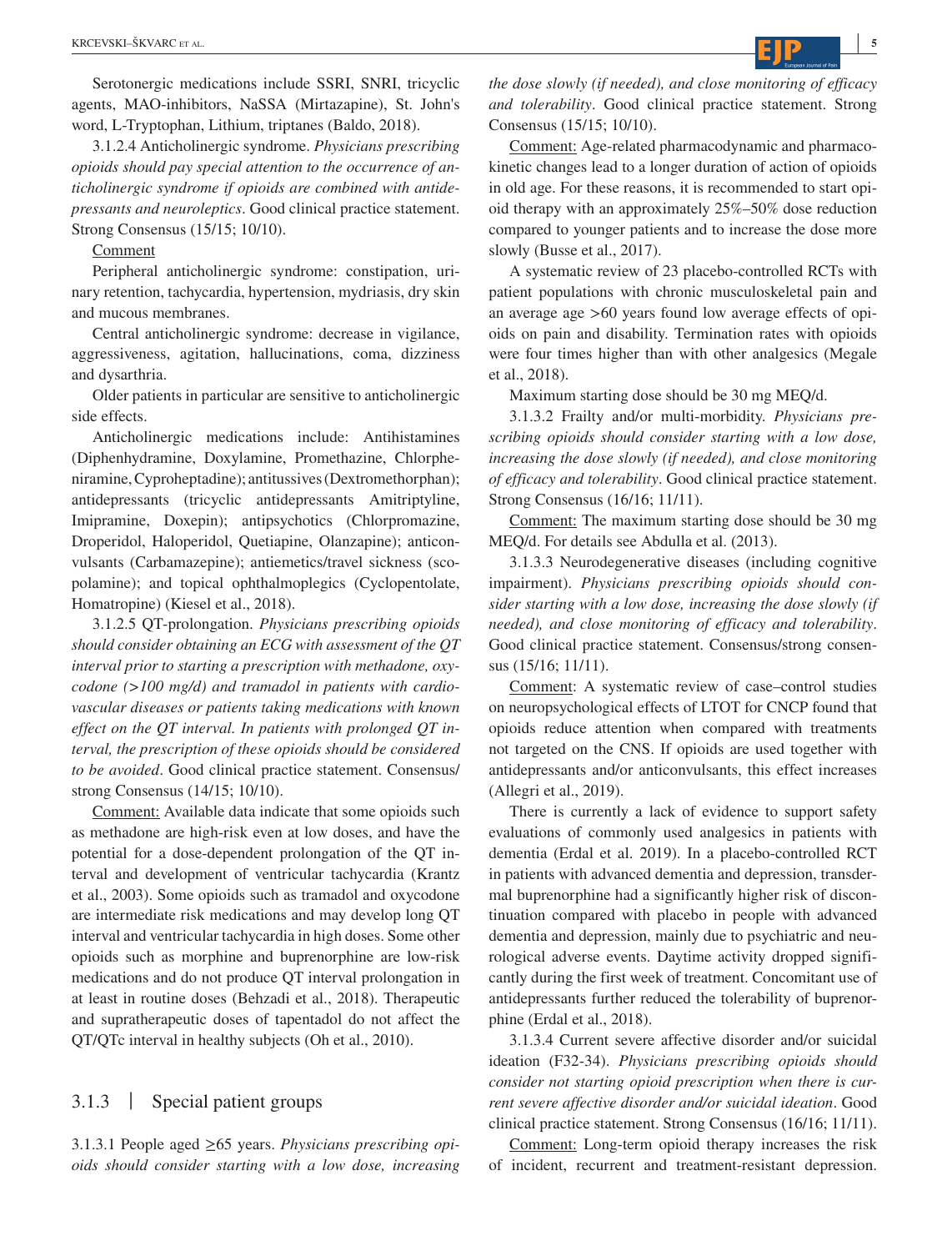Serotonergic medications include SSRI, SNRI, tricyclic agents, MAO-inhibitors, NaSSA (Mirtazapine), St. John's word, L-Tryptophan, Lithium, triptanes (Baldo, 2018).

3.1.2.4 Anticholinergic syndrome. *Physicians prescribing opioids should pay special attention to the occurrence of anticholinergic syndrome if opioids are combined with antidepressants and neuroleptics*. Good clinical practice statement. Strong Consensus (15/15; 10/10).

Comment

Peripheral anticholinergic syndrome: constipation, urinary retention, tachycardia, hypertension, mydriasis, dry skin and mucous membranes.

Central anticholinergic syndrome: decrease in vigilance, aggressiveness, agitation, hallucinations, coma, dizziness and dysarthria.

Older patients in particular are sensitive to anticholinergic side effects.

Anticholinergic medications include: Antihistamines (Diphenhydramine, Doxylamine, Promethazine, Chlorpheniramine, Cyproheptadine); antitussives (Dextromethorphan); antidepressants (tricyclic antidepressants Amitriptyline, Imipramine, Doxepin); antipsychotics (Chlorpromazine, Droperidol, Haloperidol, Quetiapine, Olanzapine); anticonvulsants (Carbamazepine); antiemetics/travel sickness (scopolamine); and topical ophthalmoplegics (Cyclopentolate, Homatropine) (Kiesel et al., 2018).

3.1.2.5 QT-prolongation. *Physicians prescribing opioids should consider obtaining an ECG with assessment of the QT interval prior to starting a prescription with methadone, oxycodone (>100 mg/d) and tramadol in patients with cardiovascular diseases or patients taking medications with known effect on the QT interval. In patients with prolonged QT interval, the prescription of these opioids should be considered to be avoided*. Good clinical practice statement. Consensus/ strong Consensus (14/15; 10/10).

Comment: Available data indicate that some opioids such as methadone are high-risk even at low doses, and have the potential for a dose-dependent prolongation of the QT interval and development of ventricular tachycardia (Krantz et al., 2003). Some opioids such as tramadol and oxycodone are intermediate risk medications and may develop long QT interval and ventricular tachycardia in high doses. Some other opioids such as morphine and buprenorphine are low-risk medications and do not produce QT interval prolongation in at least in routine doses (Behzadi et al., 2018). Therapeutic and supratherapeutic doses of tapentadol do not affect the QT/QTc interval in healthy subjects (Oh et al., 2010).

## 3.1.3 | Special patient groups

3.1.3.1 People aged ≥65 years. *Physicians prescribing opioids should consider starting with a low dose, increasing*  *the dose slowly (if needed), and close monitoring of efficacy and tolerability*. Good clinical practice statement. Strong Consensus (15/15; 10/10).

Comment: Age-related pharmacodynamic and pharmacokinetic changes lead to a longer duration of action of opioids in old age. For these reasons, it is recommended to start opioid therapy with an approximately 25%–50% dose reduction compared to younger patients and to increase the dose more slowly (Busse et al., 2017).

A systematic review of 23 placebo-controlled RCTs with patient populations with chronic musculoskeletal pain and an average age >60 years found low average effects of opioids on pain and disability. Termination rates with opioids were four times higher than with other analgesics (Megale et al., 2018).

Maximum starting dose should be 30 mg MEQ/d.

3.1.3.2 Frailty and/or multi-morbidity. *Physicians prescribing opioids should consider starting with a low dose, increasing the dose slowly (if needed), and close monitoring of efficacy and tolerability*. Good clinical practice statement. Strong Consensus (16/16; 11/11).

Comment: The maximum starting dose should be 30 mg MEQ/d. For details see Abdulla et al. (2013).

3.1.3.3 Neurodegenerative diseases (including cognitive impairment). *Physicians prescribing opioids should consider starting with a low dose, increasing the dose slowly (if needed), and close monitoring of efficacy and tolerability*. Good clinical practice statement. Consensus/strong consensus (15/16; 11/11).

Comment: A systematic review of case–control studies on neuropsychological effects of LTOT for CNCP found that opioids reduce attention when compared with treatments not targeted on the CNS. If opioids are used together with antidepressants and/or anticonvulsants, this effect increases (Allegri et al., 2019).

There is currently a lack of evidence to support safety evaluations of commonly used analgesics in patients with dementia (Erdal et al. 2019). In a placebo-controlled RCT in patients with advanced dementia and depression, transdermal buprenorphine had a significantly higher risk of discontinuation compared with placebo in people with advanced dementia and depression, mainly due to psychiatric and neurological adverse events. Daytime activity dropped significantly during the first week of treatment. Concomitant use of antidepressants further reduced the tolerability of buprenorphine (Erdal et al., 2018).

3.1.3.4 Current severe affective disorder and/or suicidal ideation (F32-34). *Physicians prescribing opioids should consider not starting opioid prescription when there is current severe affective disorder and/or suicidal ideation*. Good clinical practice statement. Strong Consensus (16/16; 11/11).

Comment: Long-term opioid therapy increases the risk of incident, recurrent and treatment-resistant depression.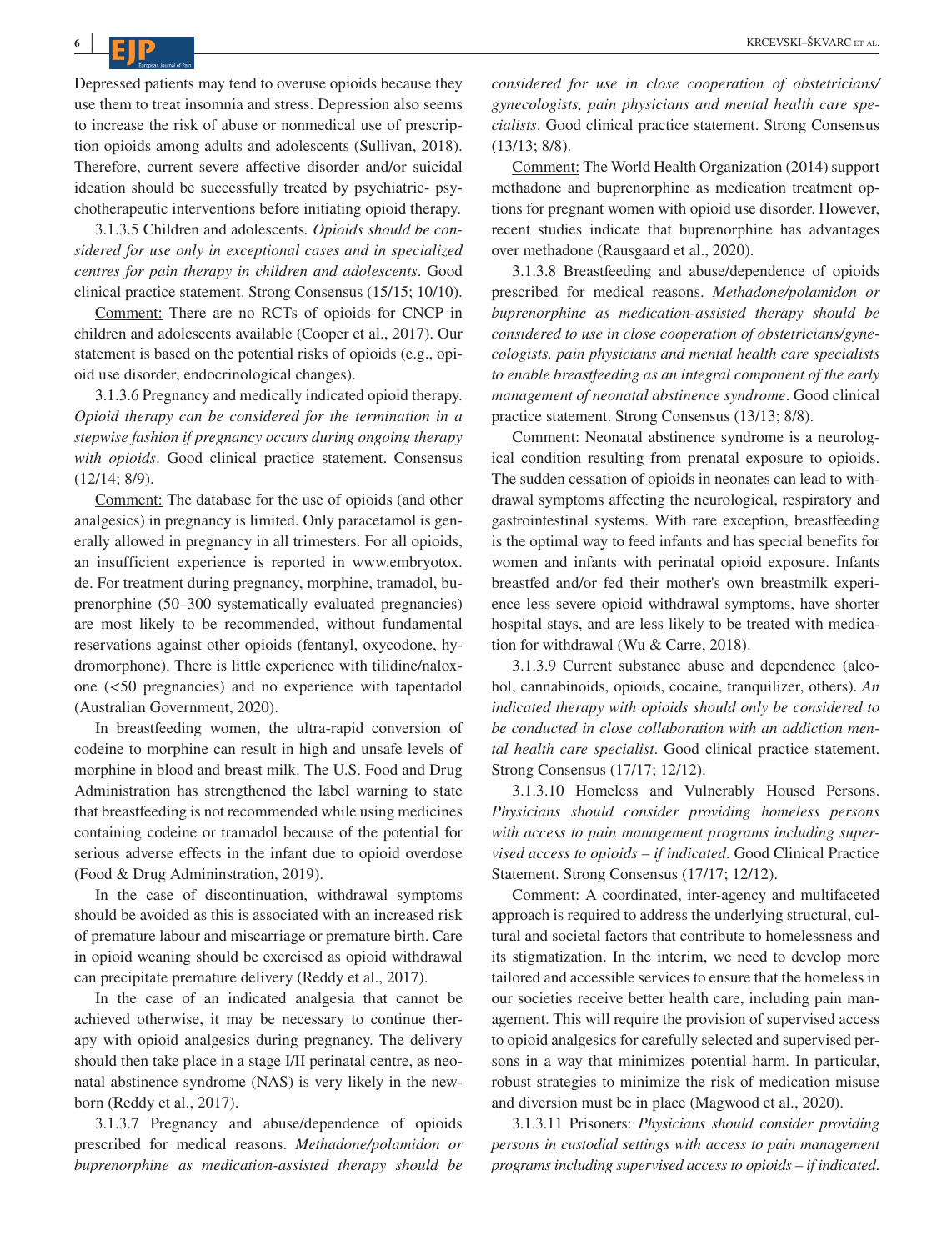**<sup>6</sup> <sup>|</sup>**

Depressed patients may tend to overuse opioids because they use them to treat insomnia and stress. Depression also seems to increase the risk of abuse or nonmedical use of prescription opioids among adults and adolescents (Sullivan, 2018). Therefore, current severe affective disorder and/or suicidal ideation should be successfully treated by psychiatric- psychotherapeutic interventions before initiating opioid therapy.

3.1.3.5 Children and adolescents*. Opioids should be considered for use only in exceptional cases and in specialized centres for pain therapy in children and adolescents*. Good clinical practice statement. Strong Consensus (15/15; 10/10).

Comment: There are no RCTs of opioids for CNCP in children and adolescents available (Cooper et al., 2017). Our statement is based on the potential risks of opioids (e.g., opioid use disorder, endocrinological changes).

3.1.3.6 Pregnancy and medically indicated opioid therapy. *Opioid therapy can be considered for the termination in a stepwise fashion if pregnancy occurs during ongoing therapy with opioids*. Good clinical practice statement. Consensus (12/14; 8/9).

Comment: The database for the use of opioids (and other analgesics) in pregnancy is limited. Only paracetamol is generally allowed in pregnancy in all trimesters. For all opioids, an insufficient experience is reported in [www.embryotox.](http://www.embryotox.de) [de.](http://www.embryotox.de) For treatment during pregnancy, morphine, tramadol, buprenorphine (50–300 systematically evaluated pregnancies) are most likely to be recommended, without fundamental reservations against other opioids (fentanyl, oxycodone, hydromorphone). There is little experience with tilidine/naloxone (<50 pregnancies) and no experience with tapentadol (Australian Government, 2020).

In breastfeeding women, the ultra-rapid conversion of codeine to morphine can result in high and unsafe levels of morphine in blood and breast milk. The U.S. Food and Drug Administration has strengthened the label warning to state that breastfeeding is not recommended while using medicines containing codeine or tramadol because of the potential for serious adverse effects in the infant due to opioid overdose (Food & Drug Admininstration, 2019).

In the case of discontinuation, withdrawal symptoms should be avoided as this is associated with an increased risk of premature labour and miscarriage or premature birth. Care in opioid weaning should be exercised as opioid withdrawal can precipitate premature delivery (Reddy et al., 2017).

In the case of an indicated analgesia that cannot be achieved otherwise, it may be necessary to continue therapy with opioid analgesics during pregnancy. The delivery should then take place in a stage I/II perinatal centre, as neonatal abstinence syndrome (NAS) is very likely in the newborn (Reddy et al., 2017).

3.1.3.7 Pregnancy and abuse/dependence of opioids prescribed for medical reasons. *Methadone/polamidon or buprenorphine as medication-assisted therapy should be*  *considered for use in close cooperation of obstetricians/ gynecologists, pain physicians and mental health care specialists*. Good clinical practice statement. Strong Consensus (13/13; 8/8).

Comment: The World Health Organization (2014) support methadone and buprenorphine as medication treatment options for pregnant women with opioid use disorder. However, recent studies indicate that buprenorphine has advantages over methadone (Rausgaard et al., 2020).

3.1.3.8 Breastfeeding and abuse/dependence of opioids prescribed for medical reasons. *Methadone/polamidon or buprenorphine as medication-assisted therapy should be considered to use in close cooperation of obstetricians/gynecologists, pain physicians and mental health care specialists to enable breastfeeding as an integral component of the early management of neonatal abstinence syndrome*. Good clinical practice statement. Strong Consensus (13/13; 8/8).

Comment: Neonatal abstinence syndrome is a neurological condition resulting from prenatal exposure to opioids. The sudden cessation of opioids in neonates can lead to withdrawal symptoms affecting the neurological, respiratory and gastrointestinal systems. With rare exception, breastfeeding is the optimal way to feed infants and has special benefits for women and infants with perinatal opioid exposure. Infants breastfed and/or fed their mother's own breastmilk experience less severe opioid withdrawal symptoms, have shorter hospital stays, and are less likely to be treated with medication for withdrawal (Wu & Carre, 2018).

3.1.3.9 Current substance abuse and dependence (alcohol, cannabinoids, opioids, cocaine, tranquilizer, others). *An indicated therapy with opioids should only be considered to be conducted in close collaboration with an addiction mental health care specialist*. Good clinical practice statement. Strong Consensus (17/17; 12/12).

3.1.3.10 Homeless and Vulnerably Housed Persons. *Physicians should consider providing homeless persons with access to pain management programs including supervised access to opioids – if indicated*. Good Clinical Practice Statement. Strong Consensus (17/17; 12/12).

Comment: A coordinated, inter-agency and multifaceted approach is required to address the underlying structural, cultural and societal factors that contribute to homelessness and its stigmatization. In the interim, we need to develop more tailored and accessible services to ensure that the homeless in our societies receive better health care, including pain management. This will require the provision of supervised access to opioid analgesics for carefully selected and supervised persons in a way that minimizes potential harm. In particular, robust strategies to minimize the risk of medication misuse and diversion must be in place (Magwood et al., 2020).

3.1.3.11 Prisoners: *Physicians should consider providing persons in custodial settings with access to pain management programs including supervised access to opioids – if indicated*.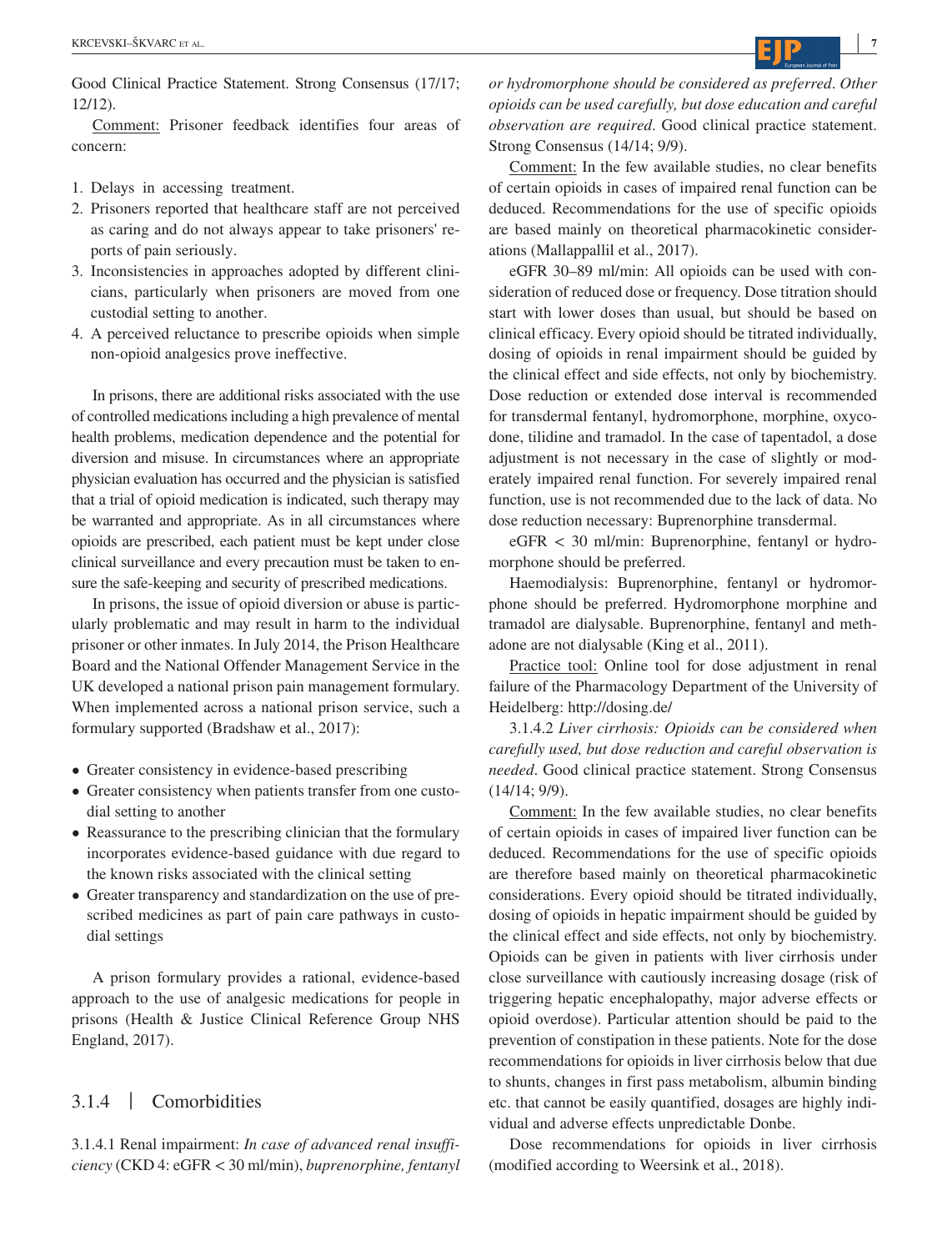Good Clinical Practice Statement. Strong Consensus (17/17; 12/12).

Comment: Prisoner feedback identifies four areas of concern:

- 1. Delays in accessing treatment.
- 2. Prisoners reported that healthcare staff are not perceived as caring and do not always appear to take prisoners' reports of pain seriously.
- 3. Inconsistencies in approaches adopted by different clinicians, particularly when prisoners are moved from one custodial setting to another.
- 4. A perceived reluctance to prescribe opioids when simple non-opioid analgesics prove ineffective.

In prisons, there are additional risks associated with the use of controlled medications including a high prevalence of mental health problems, medication dependence and the potential for diversion and misuse. In circumstances where an appropriate physician evaluation has occurred and the physician is satisfied that a trial of opioid medication is indicated, such therapy may be warranted and appropriate. As in all circumstances where opioids are prescribed, each patient must be kept under close clinical surveillance and every precaution must be taken to ensure the safe-keeping and security of prescribed medications.

In prisons, the issue of opioid diversion or abuse is particularly problematic and may result in harm to the individual prisoner or other inmates. In July 2014, the Prison Healthcare Board and the National Offender Management Service in the UK developed a national prison pain management formulary. When implemented across a national prison service, such a formulary supported (Bradshaw et al., 2017):

- Greater consistency in evidence-based prescribing
- Greater consistency when patients transfer from one custodial setting to another
- Reassurance to the prescribing clinician that the formulary incorporates evidence-based guidance with due regard to the known risks associated with the clinical setting
- Greater transparency and standardization on the use of prescribed medicines as part of pain care pathways in custodial settings

A prison formulary provides a rational, evidence-based approach to the use of analgesic medications for people in prisons (Health & Justice Clinical Reference Group NHS England, 2017).

## 3.1.4 | Comorbidities

3.1.4.1 Renal impairment: *In case of advanced renal insufficiency* (CKD 4: eGFR < 30 ml/min), *buprenorphine, fentanyl*  *or hydromorphone should be considered as preferred*. *Other opioids can be used carefully, but dose education and careful observation are required*. Good clinical practice statement. Strong Consensus (14/14; 9/9).

Comment: In the few available studies, no clear benefits of certain opioids in cases of impaired renal function can be deduced. Recommendations for the use of specific opioids are based mainly on theoretical pharmacokinetic considerations (Mallappallil et al., 2017).

eGFR 30–89 ml/min: All opioids can be used with consideration of reduced dose or frequency. Dose titration should start with lower doses than usual, but should be based on clinical efficacy. Every opioid should be titrated individually, dosing of opioids in renal impairment should be guided by the clinical effect and side effects, not only by biochemistry. Dose reduction or extended dose interval is recommended for transdermal fentanyl, hydromorphone, morphine, oxycodone, tilidine and tramadol. In the case of tapentadol, a dose adjustment is not necessary in the case of slightly or moderately impaired renal function. For severely impaired renal function, use is not recommended due to the lack of data. No dose reduction necessary: Buprenorphine transdermal.

 $eGFR < 30$  ml/min: Buprenorphine, fentanyl or hydromorphone should be preferred.

Haemodialysis: Buprenorphine, fentanyl or hydromorphone should be preferred. Hydromorphone morphine and tramadol are dialysable. Buprenorphine, fentanyl and methadone are not dialysable (King et al., 2011).

Practice tool: Online tool for dose adjustment in renal failure of the Pharmacology Department of the University of Heidelberg:<http://dosing.de/>

3.1.4.2 *Liver cirrhosis: Opioids can be considered when carefully used, but dose reduction and careful observation is needed*. Good clinical practice statement. Strong Consensus (14/14; 9/9).

Comment: In the few available studies, no clear benefits of certain opioids in cases of impaired liver function can be deduced. Recommendations for the use of specific opioids are therefore based mainly on theoretical pharmacokinetic considerations. Every opioid should be titrated individually, dosing of opioids in hepatic impairment should be guided by the clinical effect and side effects, not only by biochemistry. Opioids can be given in patients with liver cirrhosis under close surveillance with cautiously increasing dosage (risk of triggering hepatic encephalopathy, major adverse effects or opioid overdose). Particular attention should be paid to the prevention of constipation in these patients. Note for the dose recommendations for opioids in liver cirrhosis below that due to shunts, changes in first pass metabolism, albumin binding etc. that cannot be easily quantified, dosages are highly individual and adverse effects unpredictable Donbe.

Dose recommendations for opioids in liver cirrhosis (modified according to Weersink et al., 2018).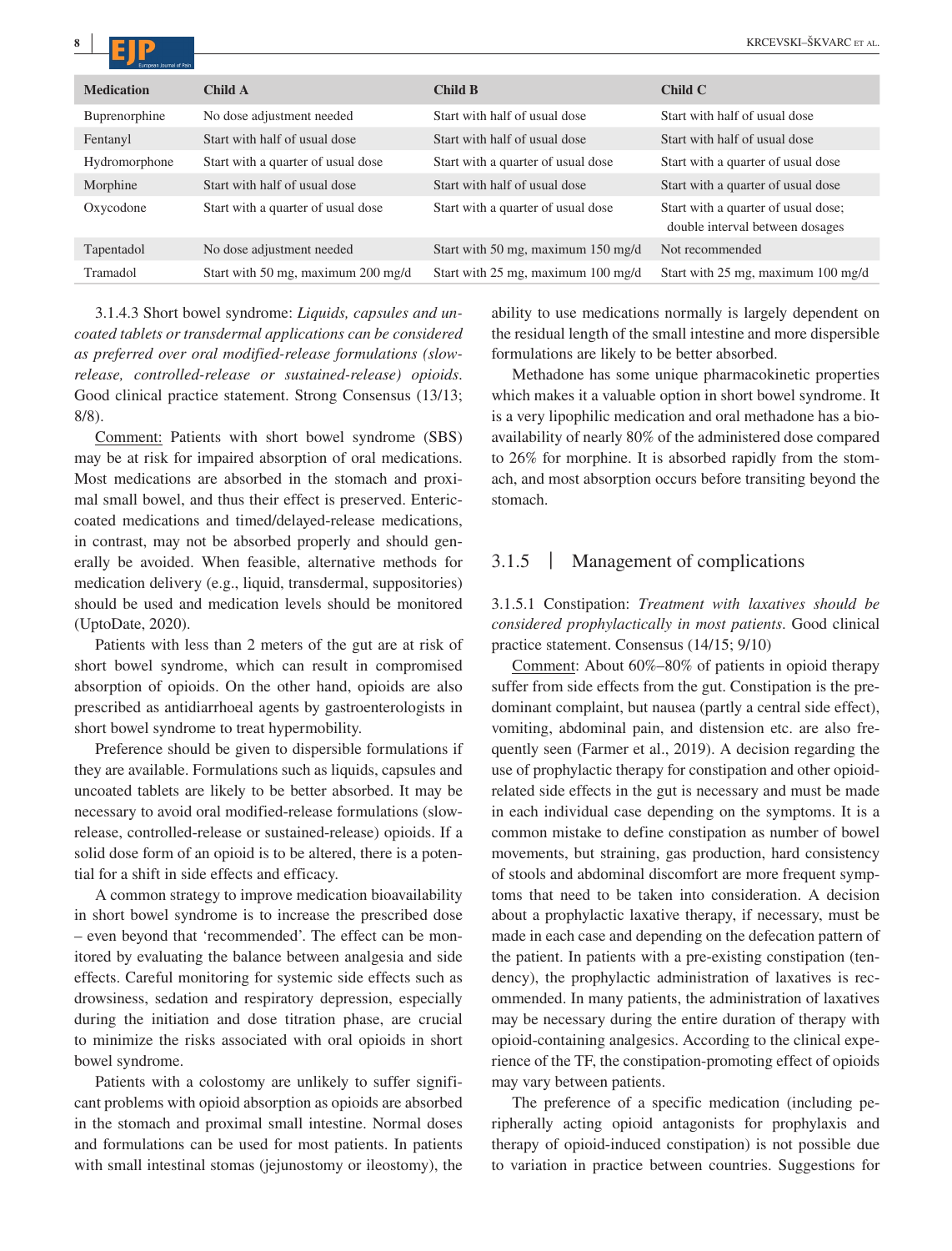| <b>Medication</b> | Child A                            | Child B                            | ChildC                                                                 |
|-------------------|------------------------------------|------------------------------------|------------------------------------------------------------------------|
| Buprenorphine     | No dose adjustment needed          | Start with half of usual dose      | Start with half of usual dose                                          |
| Fentanyl          | Start with half of usual dose      | Start with half of usual dose      | Start with half of usual dose                                          |
| Hydromorphone     | Start with a quarter of usual dose | Start with a quarter of usual dose | Start with a quarter of usual dose                                     |
| Morphine          | Start with half of usual dose      | Start with half of usual dose      | Start with a quarter of usual dose                                     |
| Oxycodone         | Start with a quarter of usual dose | Start with a quarter of usual dose | Start with a quarter of usual dose;<br>double interval between dosages |
| Tapentadol        | No dose adjustment needed          | Start with 50 mg, maximum 150 mg/d | Not recommended                                                        |
| Tramadol          | Start with 50 mg, maximum 200 mg/d | Start with 25 mg, maximum 100 mg/d | Start with 25 mg, maximum 100 mg/d                                     |

3.1.4.3 Short bowel syndrome: *Liquids, capsules and uncoated tablets or transdermal applications can be considered as preferred over oral modified-release formulations (slowrelease, controlled-release or sustained-release) opioids*. Good clinical practice statement. Strong Consensus (13/13; 8/8).

Comment: Patients with short bowel syndrome (SBS) may be at risk for impaired absorption of oral medications. Most medications are absorbed in the stomach and proximal small bowel, and thus their effect is preserved. Entericcoated medications and timed/delayed-release medications, in contrast, may not be absorbed properly and should generally be avoided. When feasible, alternative methods for medication delivery (e.g., liquid, transdermal, suppositories) should be used and medication levels should be monitored (UptoDate, 2020).

Patients with less than 2 meters of the gut are at risk of short bowel syndrome, which can result in compromised absorption of opioids. On the other hand, opioids are also prescribed as antidiarrhoeal agents by gastroenterologists in short bowel syndrome to treat hypermobility.

Preference should be given to dispersible formulations if they are available. Formulations such as liquids, capsules and uncoated tablets are likely to be better absorbed. It may be necessary to avoid oral modified-release formulations (slowrelease, controlled-release or sustained-release) opioids. If a solid dose form of an opioid is to be altered, there is a potential for a shift in side effects and efficacy.

A common strategy to improve medication bioavailability in short bowel syndrome is to increase the prescribed dose – even beyond that 'recommended'. The effect can be monitored by evaluating the balance between analgesia and side effects. Careful monitoring for systemic side effects such as drowsiness, sedation and respiratory depression, especially during the initiation and dose titration phase, are crucial to minimize the risks associated with oral opioids in short bowel syndrome.

Patients with a colostomy are unlikely to suffer significant problems with opioid absorption as opioids are absorbed in the stomach and proximal small intestine. Normal doses and formulations can be used for most patients. In patients with small intestinal stomas (jejunostomy or ileostomy), the ability to use medications normally is largely dependent on the residual length of the small intestine and more dispersible formulations are likely to be better absorbed.

Methadone has some unique pharmacokinetic properties which makes it a valuable option in short bowel syndrome. It is a very lipophilic medication and oral methadone has a bioavailability of nearly 80% of the administered dose compared to 26% for morphine. It is absorbed rapidly from the stomach, and most absorption occurs before transiting beyond the stomach.

## 3.1.5 | Management of complications

3.1.5.1 Constipation: *Treatment with laxatives should be considered prophylactically in most patients*. Good clinical practice statement. Consensus (14/15; 9/10)

Comment: About 60%–80% of patients in opioid therapy suffer from side effects from the gut. Constipation is the predominant complaint, but nausea (partly a central side effect), vomiting, abdominal pain, and distension etc. are also frequently seen (Farmer et al., 2019). A decision regarding the use of prophylactic therapy for constipation and other opioidrelated side effects in the gut is necessary and must be made in each individual case depending on the symptoms. It is a common mistake to define constipation as number of bowel movements, but straining, gas production, hard consistency of stools and abdominal discomfort are more frequent symptoms that need to be taken into consideration. A decision about a prophylactic laxative therapy, if necessary, must be made in each case and depending on the defecation pattern of the patient. In patients with a pre-existing constipation (tendency), the prophylactic administration of laxatives is recommended. In many patients, the administration of laxatives may be necessary during the entire duration of therapy with opioid-containing analgesics. According to the clinical experience of the TF, the constipation-promoting effect of opioids may vary between patients.

The preference of a specific medication (including peripherally acting opioid antagonists for prophylaxis and therapy of opioid-induced constipation) is not possible due to variation in practice between countries. Suggestions for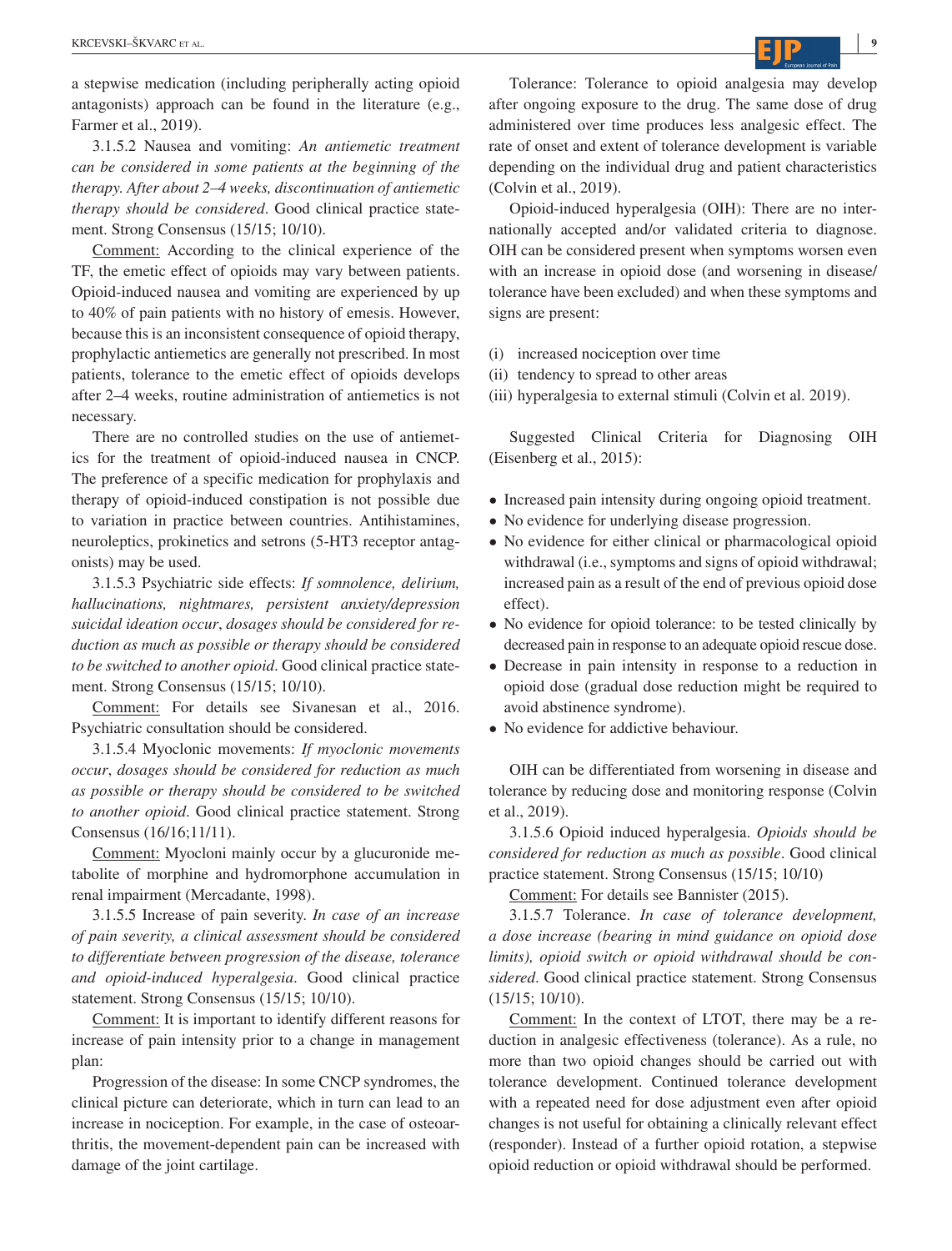a stepwise medication (including peripherally acting opioid antagonists) approach can be found in the literature (e.g., Farmer et al., 2019).

3.1.5.2 Nausea and vomiting: *An antiemetic treatment can be considered in some patients at the beginning of the therapy. After about 2–4 weeks, discontinuation of antiemetic therapy should be considered*. Good clinical practice statement. Strong Consensus (15/15; 10/10).

Comment: According to the clinical experience of the TF, the emetic effect of opioids may vary between patients. Opioid-induced nausea and vomiting are experienced by up to 40% of pain patients with no history of emesis. However, because this is an inconsistent consequence of opioid therapy, prophylactic antiemetics are generally not prescribed. In most patients, tolerance to the emetic effect of opioids develops after 2–4 weeks, routine administration of antiemetics is not necessary.

There are no controlled studies on the use of antiemetics for the treatment of opioid-induced nausea in CNCP. The preference of a specific medication for prophylaxis and therapy of opioid-induced constipation is not possible due to variation in practice between countries. Antihistamines, neuroleptics, prokinetics and setrons (5-HT3 receptor antagonists) may be used.

3.1.5.3 Psychiatric side effects: *If somnolence, delirium, hallucinations, nightmares, persistent anxiety/depression suicidal ideation occur*, *dosages should be considered for reduction as much as possible or therapy should be considered to be switched to another opioid*. Good clinical practice statement. Strong Consensus (15/15; 10/10).

Comment: For details see Sivanesan et al., 2016. Psychiatric consultation should be considered.

3.1.5.4 Myoclonic movements: *If myoclonic movements occur*, *dosages should be considered for reduction as much as possible or therapy should be considered to be switched to another opioid*. Good clinical practice statement. Strong Consensus (16/16;11/11).

Comment: Myocloni mainly occur by a glucuronide metabolite of morphine and hydromorphone accumulation in renal impairment (Mercadante, 1998).

3.1.5.5 Increase of pain severity. *In case of an increase of pain severity, a clinical assessment should be considered to differentiate between progression of the disease, tolerance and opioid-induced hyperalgesia*. Good clinical practice statement. Strong Consensus (15/15; 10/10).

Comment: It is important to identify different reasons for increase of pain intensity prior to a change in management plan:

Progression of the disease: In some CNCP syndromes, the clinical picture can deteriorate, which in turn can lead to an increase in nociception. For example, in the case of osteoarthritis, the movement-dependent pain can be increased with damage of the joint cartilage.

Tolerance: Tolerance to opioid analgesia may develop after ongoing exposure to the drug. The same dose of drug administered over time produces less analgesic effect. The rate of onset and extent of tolerance development is variable depending on the individual drug and patient characteristics (Colvin et al., 2019).

Opioid-induced hyperalgesia (OIH): There are no internationally accepted and/or validated criteria to diagnose. OIH can be considered present when symptoms worsen even with an increase in opioid dose (and worsening in disease/ tolerance have been excluded) and when these symptoms and signs are present:

(i) increased nociception over time

(ii) tendency to spread to other areas

(iii) hyperalgesia to external stimuli (Colvin et al. 2019).

Suggested Clinical Criteria for Diagnosing OIH (Eisenberg et al., 2015):

- Increased pain intensity during ongoing opioid treatment.
- No evidence for underlying disease progression.
- No evidence for either clinical or pharmacological opioid withdrawal (i.e., symptoms and signs of opioid withdrawal; increased pain as a result of the end of previous opioid dose effect).
- No evidence for opioid tolerance: to be tested clinically by decreased pain in response to an adequate opioid rescue dose.
- Decrease in pain intensity in response to a reduction in opioid dose (gradual dose reduction might be required to avoid abstinence syndrome).
- No evidence for addictive behaviour.

OIH can be differentiated from worsening in disease and tolerance by reducing dose and monitoring response (Colvin et al., 2019).

3.1.5.6 Opioid induced hyperalgesia. *Opioids should be considered for reduction as much as possible*. Good clinical practice statement. Strong Consensus (15/15; 10/10)

Comment: For details see Bannister (2015).

3.1.5.7 Tolerance. *In case of tolerance development, a dose increase (bearing in mind guidance on opioid dose limits), opioid switch or opioid withdrawal should be considered*. Good clinical practice statement. Strong Consensus (15/15; 10/10).

Comment: In the context of LTOT, there may be a reduction in analgesic effectiveness (tolerance). As a rule, no more than two opioid changes should be carried out with tolerance development. Continued tolerance development with a repeated need for dose adjustment even after opioid changes is not useful for obtaining a clinically relevant effect (responder). Instead of a further opioid rotation, a stepwise opioid reduction or opioid withdrawal should be performed.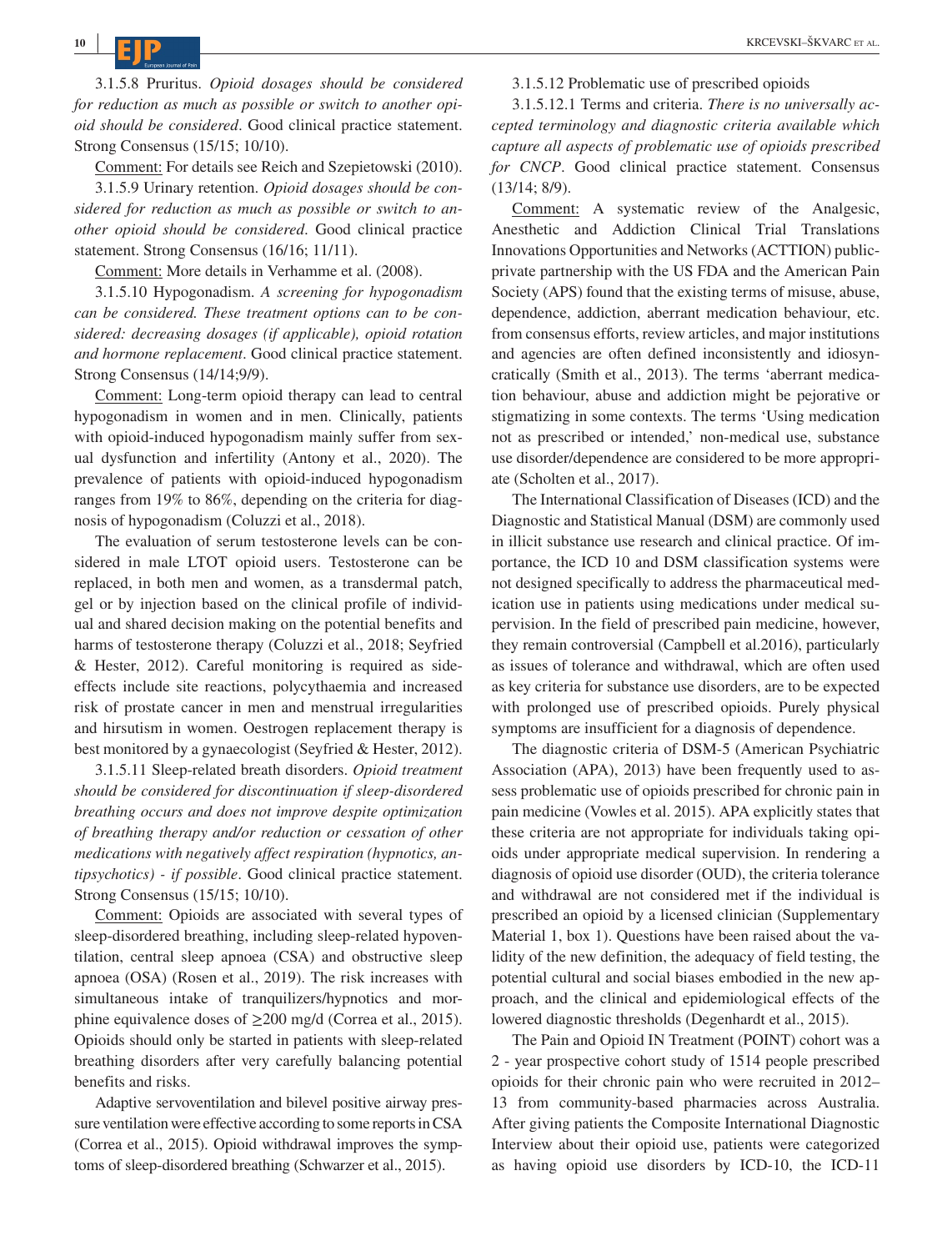**<sup>10</sup> <sup>|</sup>**

3.1.5.8 Pruritus. *Opioid dosages should be considered for reduction as much as possible or switch to another opioid should be considered*. Good clinical practice statement. Strong Consensus (15/15; 10/10).

Comment: For details see Reich and Szepietowski (2010).

3.1.5.9 Urinary retention. *Opioid dosages should be considered for reduction as much as possible or switch to another opioid should be considered*. Good clinical practice statement. Strong Consensus (16/16; 11/11).

Comment: More details in Verhamme et al. (2008).

3.1.5.10 Hypogonadism. *A screening for hypogonadism can be considered. These treatment options can to be considered: decreasing dosages (if applicable), opioid rotation and hormone replacement*. Good clinical practice statement. Strong Consensus (14/14;9/9).

Comment: Long-term opioid therapy can lead to central hypogonadism in women and in men. Clinically, patients with opioid-induced hypogonadism mainly suffer from sexual dysfunction and infertility (Antony et al., 2020). The prevalence of patients with opioid-induced hypogonadism ranges from 19% to 86%, depending on the criteria for diagnosis of hypogonadism (Coluzzi et al., 2018).

The evaluation of serum testosterone levels can be considered in male LTOT opioid users. Testosterone can be replaced, in both men and women, as a transdermal patch, gel or by injection based on the clinical profile of individual and shared decision making on the potential benefits and harms of testosterone therapy (Coluzzi et al., 2018; Seyfried & Hester, 2012). Careful monitoring is required as sideeffects include site reactions, polycythaemia and increased risk of prostate cancer in men and menstrual irregularities and hirsutism in women. Oestrogen replacement therapy is best monitored by a gynaecologist (Seyfried & Hester, 2012).

3.1.5.11 Sleep-related breath disorders. *Opioid treatment should be considered for discontinuation if sleep-disordered breathing occurs and does not improve despite optimization of breathing therapy and/or reduction or cessation of other medications with negatively affect respiration (hypnotics, antipsychotics) - if possible*. Good clinical practice statement. Strong Consensus (15/15; 10/10).

Comment: Opioids are associated with several types of sleep-disordered breathing, including sleep-related hypoventilation, central sleep apnoea (CSA) and obstructive sleep apnoea (OSA) (Rosen et al., 2019). The risk increases with simultaneous intake of tranquilizers/hypnotics and morphine equivalence doses of  $\geq 200$  mg/d (Correa et al., 2015). Opioids should only be started in patients with sleep-related breathing disorders after very carefully balancing potential benefits and risks.

Adaptive servoventilation and bilevel positive airway pressure ventilation were effective according to some reports in CSA (Correa et al., 2015). Opioid withdrawal improves the symptoms of sleep-disordered breathing (Schwarzer et al., 2015).

3.1.5.12 Problematic use of prescribed opioids

3.1.5.12.1 Terms and criteria. *There is no universally accepted terminology and diagnostic criteria available which capture all aspects of problematic use of opioids prescribed for CNCP*. Good clinical practice statement. Consensus (13/14; 8/9).

Comment: A systematic review of the Analgesic, Anesthetic and Addiction Clinical Trial Translations Innovations Opportunities and Networks (ACTTION) publicprivate partnership with the US FDA and the American Pain Society (APS) found that the existing terms of misuse, abuse, dependence, addiction, aberrant medication behaviour, etc. from consensus efforts, review articles, and major institutions and agencies are often defined inconsistently and idiosyncratically (Smith et al., 2013). The terms 'aberrant medication behaviour, abuse and addiction might be pejorative or stigmatizing in some contexts. The terms 'Using medication not as prescribed or intended,' non-medical use, substance use disorder/dependence are considered to be more appropriate (Scholten et al., 2017).

The International Classification of Diseases (ICD) and the Diagnostic and Statistical Manual (DSM) are commonly used in illicit substance use research and clinical practice. Of importance, the ICD 10 and DSM classification systems were not designed specifically to address the pharmaceutical medication use in patients using medications under medical supervision. In the field of prescribed pain medicine, however, they remain controversial (Campbell et al.2016), particularly as issues of tolerance and withdrawal, which are often used as key criteria for substance use disorders, are to be expected with prolonged use of prescribed opioids. Purely physical symptoms are insufficient for a diagnosis of dependence.

The diagnostic criteria of DSM-5 (American Psychiatric Association (APA), 2013) have been frequently used to assess problematic use of opioids prescribed for chronic pain in pain medicine (Vowles et al. 2015). APA explicitly states that these criteria are not appropriate for individuals taking opioids under appropriate medical supervision. In rendering a diagnosis of opioid use disorder (OUD), the criteria tolerance and withdrawal are not considered met if the individual is prescribed an opioid by a licensed clinician (Supplementary Material 1, box 1). Questions have been raised about the validity of the new definition, the adequacy of field testing, the potential cultural and social biases embodied in the new approach, and the clinical and epidemiological effects of the lowered diagnostic thresholds (Degenhardt et al., 2015).

The Pain and Opioid IN Treatment (POINT) cohort was a 2 - year prospective cohort study of 1514 people prescribed opioids for their chronic pain who were recruited in 2012– 13 from community-based pharmacies across Australia. After giving patients the Composite International Diagnostic Interview about their opioid use, patients were categorized as having opioid use disorders by ICD-10, the ICD-11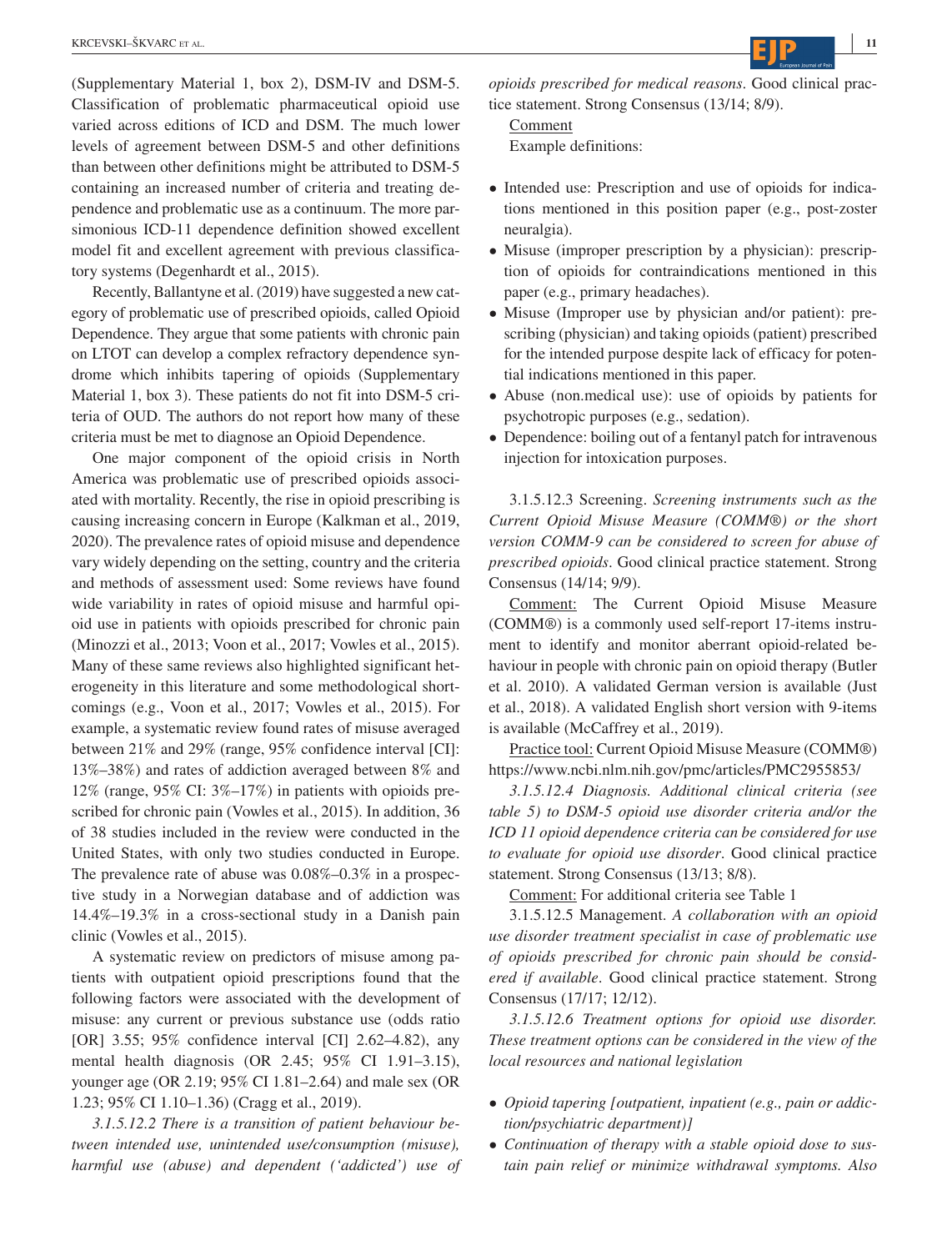(Supplementary Material 1, box 2), DSM-IV and DSM-5. Classification of problematic pharmaceutical opioid use varied across editions of ICD and DSM. The much lower levels of agreement between DSM-5 and other definitions than between other definitions might be attributed to DSM-5 containing an increased number of criteria and treating dependence and problematic use as a continuum. The more parsimonious ICD-11 dependence definition showed excellent model fit and excellent agreement with previous classificatory systems (Degenhardt et al., 2015).

Recently, Ballantyne et al. (2019) have suggested a new category of problematic use of prescribed opioids, called Opioid Dependence. They argue that some patients with chronic pain on LTOT can develop a complex refractory dependence syndrome which inhibits tapering of opioids (Supplementary Material 1, box 3). These patients do not fit into DSM-5 criteria of OUD. The authors do not report how many of these criteria must be met to diagnose an Opioid Dependence.

One major component of the opioid crisis in North America was problematic use of prescribed opioids associated with mortality. Recently, the rise in opioid prescribing is causing increasing concern in Europe (Kalkman et al., 2019, 2020). The prevalence rates of opioid misuse and dependence vary widely depending on the setting, country and the criteria and methods of assessment used: Some reviews have found wide variability in rates of opioid misuse and harmful opioid use in patients with opioids prescribed for chronic pain (Minozzi et al., 2013; Voon et al., 2017; Vowles et al., 2015). Many of these same reviews also highlighted significant heterogeneity in this literature and some methodological shortcomings (e.g., Voon et al., 2017; Vowles et al., 2015). For example, a systematic review found rates of misuse averaged between 21% and 29% (range, 95% confidence interval [CI]: 13%–38%) and rates of addiction averaged between 8% and 12% (range, 95% CI: 3%–17%) in patients with opioids prescribed for chronic pain (Vowles et al., 2015). In addition, 36 of 38 studies included in the review were conducted in the United States, with only two studies conducted in Europe. The prevalence rate of abuse was 0.08%–0.3% in a prospective study in a Norwegian database and of addiction was 14.4%–19.3% in a cross-sectional study in a Danish pain clinic (Vowles et al., 2015).

A systematic review on predictors of misuse among patients with outpatient opioid prescriptions found that the following factors were associated with the development of misuse: any current or previous substance use (odds ratio [OR] 3.55; 95% confidence interval [CI] 2.62–4.82), any mental health diagnosis (OR 2.45; 95% CI 1.91–3.15), younger age (OR 2.19; 95% CI 1.81–2.64) and male sex (OR 1.23; 95% CI 1.10–1.36) (Cragg et al., 2019).

*3.1.5.12.2 There is a transition of patient behaviour between intended use, unintended use/consumption (misuse), harmful use (abuse) and dependent ('addicted') use of*  *opioids prescribed for medical reasons*. Good clinical practice statement. Strong Consensus (13/14; 8/9).

Comment Example definitions:

- Intended use: Prescription and use of opioids for indications mentioned in this position paper (e.g., post-zoster neuralgia).
- Misuse (improper prescription by a physician): prescription of opioids for contraindications mentioned in this paper (e.g., primary headaches).
- Misuse (Improper use by physician and/or patient): prescribing (physician) and taking opioids (patient) prescribed for the intended purpose despite lack of efficacy for potential indications mentioned in this paper.
- Abuse (non.medical use): use of opioids by patients for psychotropic purposes (e.g., sedation).
- Dependence: boiling out of a fentanyl patch for intravenous injection for intoxication purposes.

3.1.5.12.3 Screening. *Screening instruments such as the Current Opioid Misuse Measure (COMM®) or the short version COMM-9 can be considered to screen for abuse of prescribed opioids*. Good clinical practice statement. Strong Consensus (14/14; 9/9).

Comment: The Current Opioid Misuse Measure (COMM®) is a commonly used self-report 17-items instrument to identify and monitor aberrant opioid-related behaviour in people with chronic pain on opioid therapy (Butler et al. 2010). A validated German version is available (Just et al., 2018). A validated English short version with 9-items is available (McCaffrey et al., 2019).

Practice tool: Current Opioid Misuse Measure (COMM®) <https://www.ncbi.nlm.nih.gov/pmc/articles/PMC2955853/>

*3.1.5.12.4 Diagnosis. Additional clinical criteria (see table 5) to DSM-5 opioid use disorder criteria and/or the ICD 11 opioid dependence criteria can be considered for use to evaluate for opioid use disorder*. Good clinical practice statement. Strong Consensus (13/13; 8/8).

Comment: For additional criteria see Table 1

3.1.5.12.5 Management. *A collaboration with an opioid use disorder treatment specialist in case of problematic use of opioids prescribed for chronic pain should be considered if available*. Good clinical practice statement. Strong Consensus (17/17; 12/12).

*3.1.5.12.6 Treatment options for opioid use disorder. These treatment options can be considered in the view of the local resources and national legislation*

- *Opioid tapering [outpatient, inpatient (e.g., pain or addiction/psychiatric department)]*
- *Continuation of therapy with a stable opioid dose to sustain pain relief or minimize withdrawal symptoms. Also*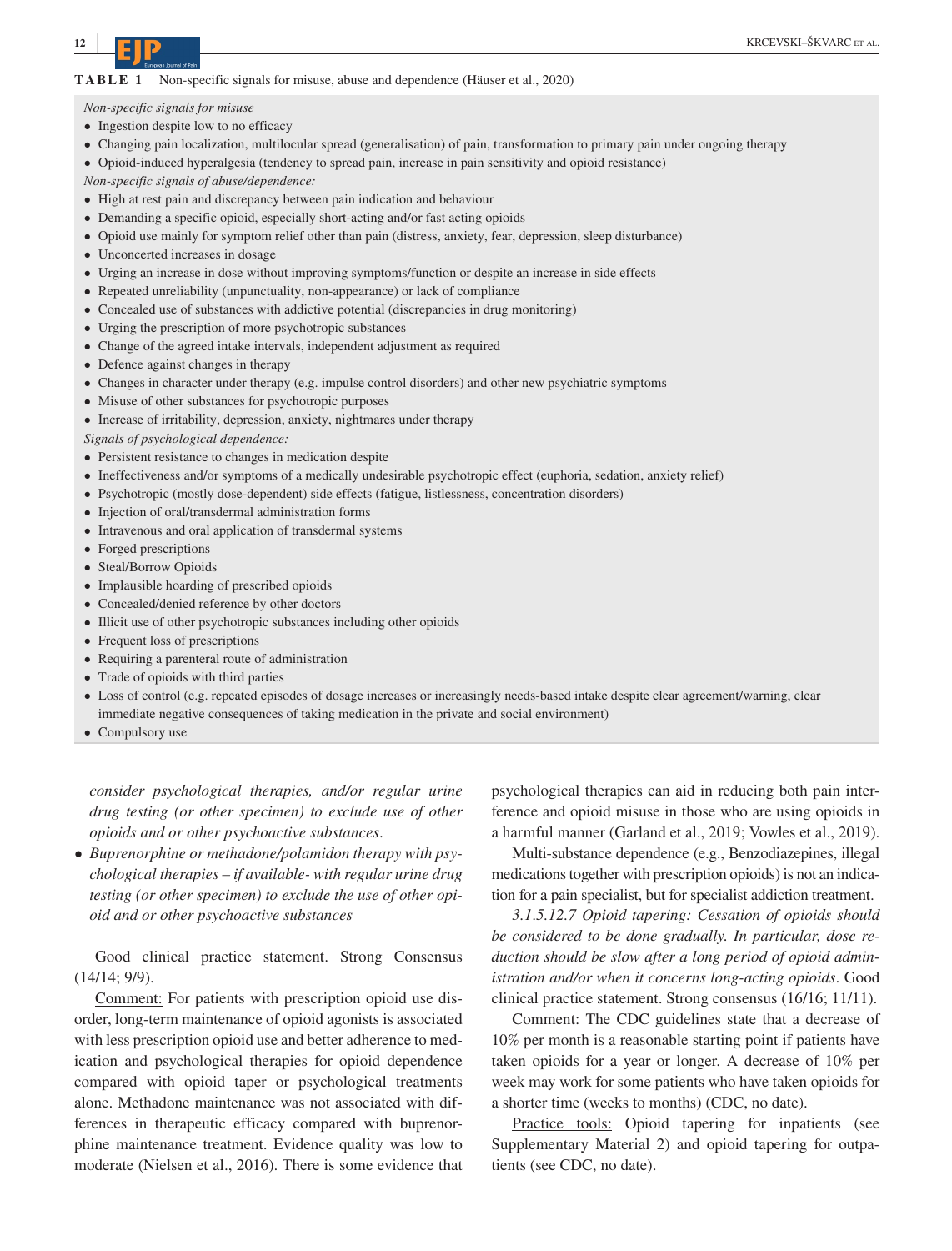#### **TABLE 1** Non-specific signals for misuse, abuse and dependence (Häuser et al., 2020)

*Non-specific signals for misuse*

- Ingestion despite low to no efficacy
- Changing pain localization, multilocular spread (generalisation) of pain, transformation to primary pain under ongoing therapy
- Opioid-induced hyperalgesia (tendency to spread pain, increase in pain sensitivity and opioid resistance)

*Non-specific signals of abuse/dependence:*

- High at rest pain and discrepancy between pain indication and behaviour
- Demanding a specific opioid, especially short-acting and/or fast acting opioids
- Opioid use mainly for symptom relief other than pain (distress, anxiety, fear, depression, sleep disturbance)
- Unconcerted increases in dosage
- Urging an increase in dose without improving symptoms/function or despite an increase in side effects
- Repeated unreliability (unpunctuality, non-appearance) or lack of compliance
- Concealed use of substances with addictive potential (discrepancies in drug monitoring)
- Urging the prescription of more psychotropic substances
- Change of the agreed intake intervals, independent adjustment as required
- Defence against changes in therapy
- Changes in character under therapy (e.g. impulse control disorders) and other new psychiatric symptoms
- Misuse of other substances for psychotropic purposes
- Increase of irritability, depression, anxiety, nightmares under therapy

*Signals of psychological dependence:*

- Persistent resistance to changes in medication despite
- Ineffectiveness and/or symptoms of a medically undesirable psychotropic effect (euphoria, sedation, anxiety relief)
- Psychotropic (mostly dose-dependent) side effects (fatigue, listlessness, concentration disorders)
- Injection of oral/transdermal administration forms
- Intravenous and oral application of transdermal systems
- Forged prescriptions
- Steal/Borrow Opioids
- Implausible hoarding of prescribed opioids
- Concealed/denied reference by other doctors
- Illicit use of other psychotropic substances including other opioids
- Frequent loss of prescriptions
- Requiring a parenteral route of administration
- Trade of opioids with third parties
- Loss of control (e.g. repeated episodes of dosage increases or increasingly needs-based intake despite clear agreement/warning, clear immediate negative consequences of taking medication in the private and social environment)
- Compulsory use

*consider psychological therapies, and/or regular urine drug testing (or other specimen) to exclude use of other opioids and or other psychoactive substances*.

• *Buprenorphine or methadone/polamidon therapy with psychological therapies – if available- with regular urine drug testing (or other specimen) to exclude the use of other opioid and or other psychoactive substances*

Good clinical practice statement. Strong Consensus (14/14; 9/9).

Comment: For patients with prescription opioid use disorder, long-term maintenance of opioid agonists is associated with less prescription opioid use and better adherence to medication and psychological therapies for opioid dependence compared with opioid taper or psychological treatments alone. Methadone maintenance was not associated with differences in therapeutic efficacy compared with buprenorphine maintenance treatment. Evidence quality was low to moderate (Nielsen et al., 2016). There is some evidence that psychological therapies can aid in reducing both pain interference and opioid misuse in those who are using opioids in a harmful manner (Garland et al., 2019; Vowles et al., 2019).

Multi-substance dependence (e.g., Benzodiazepines, illegal medications together with prescription opioids) is not an indication for a pain specialist, but for specialist addiction treatment.

*3.1*.*5.12.7 Opioid tapering: Cessation of opioids should be considered to be done gradually. In particular, dose reduction should be slow after a long period of opioid administration and/or when it concerns long-acting opioids*. Good clinical practice statement. Strong consensus (16/16; 11/11).

Comment: The CDC guidelines state that a decrease of 10% per month is a reasonable starting point if patients have taken opioids for a year or longer. A decrease of 10% per week may work for some patients who have taken opioids for a shorter time (weeks to months) (CDC, no date).

Practice tools: Opioid tapering for inpatients (see Supplementary Material 2) and opioid tapering for outpatients (see CDC, no date).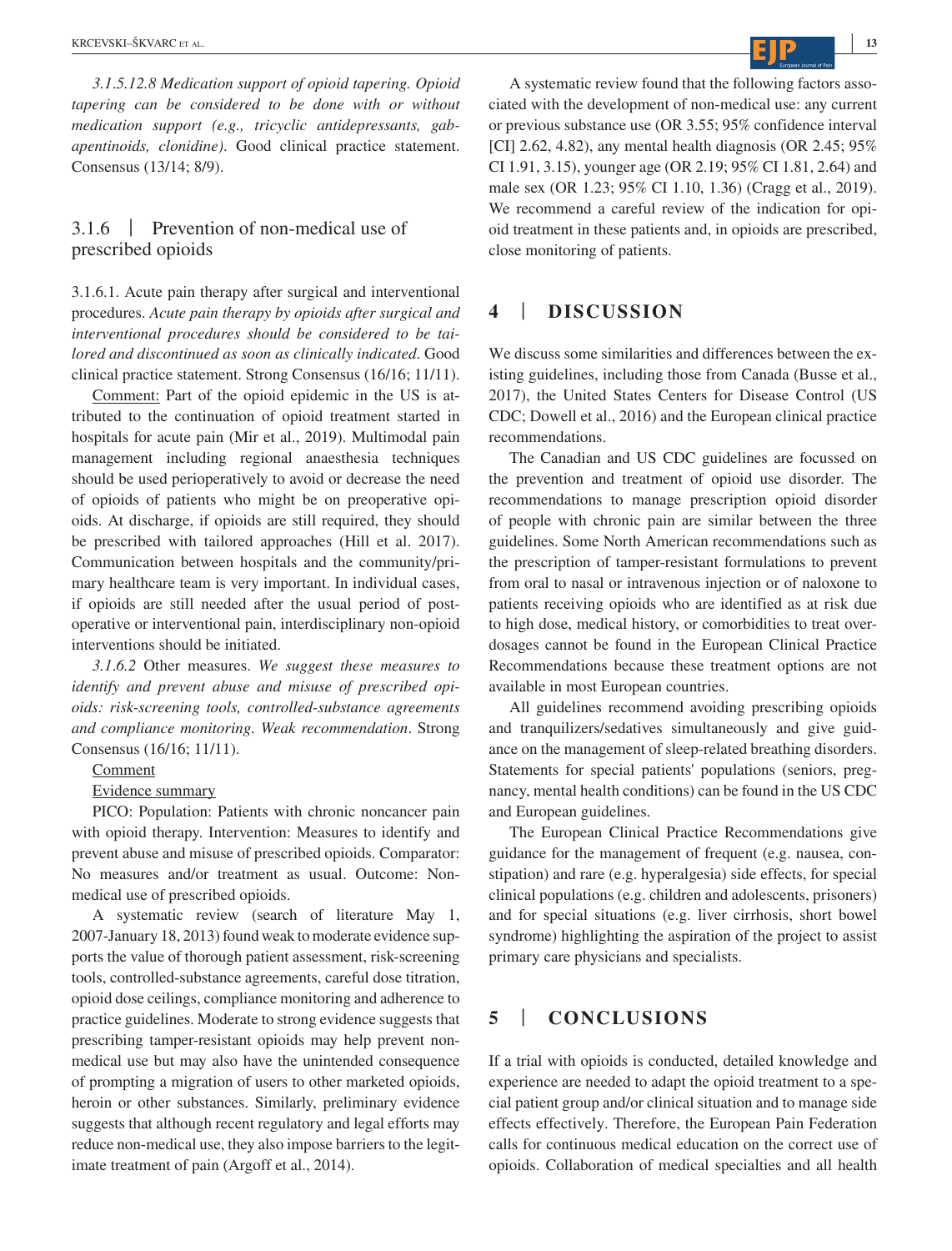*3.1*.*5.12.8 Medication support of opioid tapering. Opioid tapering can be considered to be done with or without medication support (e.g., tricyclic antidepressants, gabapentinoids, clonidine)*. Good clinical practice statement. Consensus (13/14; 8/9).

## 3.1.6 | Prevention of non-medical use of prescribed opioids

3.1.6.1. Acute pain therapy after surgical and interventional procedures. *Acute pain therapy by opioids after surgical and interventional procedures should be considered to be tailored and discontinued as soon as clinically indicated*. Good clinical practice statement. Strong Consensus (16/16; 11/11).

Comment: Part of the opioid epidemic in the US is attributed to the continuation of opioid treatment started in hospitals for acute pain (Mir et al., 2019). Multimodal pain management including regional anaesthesia techniques should be used perioperatively to avoid or decrease the need of opioids of patients who might be on preoperative opioids. At discharge, if opioids are still required, they should be prescribed with tailored approaches (Hill et al. 2017). Communication between hospitals and the community/primary healthcare team is very important. In individual cases, if opioids are still needed after the usual period of postoperative or interventional pain, interdisciplinary non-opioid interventions should be initiated.

*3.1*.*6.2* Other measures. *We suggest these measures to identify and prevent abuse and misuse of prescribed opioids: risk-screening tools, controlled-substance agreements and compliance monitoring. Weak recommendation*. Strong Consensus (16/16; 11/11).

**Comment** 

Evidence summary

PICO: Population: Patients with chronic noncancer pain with opioid therapy. Intervention: Measures to identify and prevent abuse and misuse of prescribed opioids. Comparator: No measures and/or treatment as usual. Outcome: Nonmedical use of prescribed opioids.

A systematic review (search of literature May 1, 2007-January 18, 2013) found weak to moderate evidence supports the value of thorough patient assessment, risk-screening tools, controlled-substance agreements, careful dose titration, opioid dose ceilings, compliance monitoring and adherence to practice guidelines. Moderate to strong evidence suggests that prescribing tamper-resistant opioids may help prevent nonmedical use but may also have the unintended consequence of prompting a migration of users to other marketed opioids, heroin or other substances. Similarly, preliminary evidence suggests that although recent regulatory and legal efforts may reduce non-medical use, they also impose barriers to the legitimate treatment of pain (Argoff et al., 2014).

A systematic review found that the following factors associated with the development of non-medical use: any current or previous substance use (OR 3.55; 95% confidence interval [CI] 2.62, 4.82), any mental health diagnosis (OR 2.45; 95% CI 1.91, 3.15), younger age (OR 2.19; 95% CI 1.81, 2.64) and male sex (OR 1.23; 95% CI 1.10, 1.36) (Cragg et al., 2019). We recommend a careful review of the indication for opioid treatment in these patients and, in opioids are prescribed, close monitoring of patients.

## **4** | **DISCUSSION**

We discuss some similarities and differences between the existing guidelines, including those from Canada (Busse et al., 2017), the United States Centers for Disease Control (US CDC; Dowell et al., 2016) and the European clinical practice recommendations.

The Canadian and US CDC guidelines are focussed on the prevention and treatment of opioid use disorder. The recommendations to manage prescription opioid disorder of people with chronic pain are similar between the three guidelines. Some North American recommendations such as the prescription of tamper-resistant formulations to prevent from oral to nasal or intravenous injection or of naloxone to patients receiving opioids who are identified as at risk due to high dose, medical history, or comorbidities to treat overdosages cannot be found in the European Clinical Practice Recommendations because these treatment options are not available in most European countries.

All guidelines recommend avoiding prescribing opioids and tranquilizers/sedatives simultaneously and give guidance on the management of sleep-related breathing disorders. Statements for special patients' populations (seniors, pregnancy, mental health conditions) can be found in the US CDC and European guidelines.

The European Clinical Practice Recommendations give guidance for the management of frequent (e.g. nausea, constipation) and rare (e.g. hyperalgesia) side effects, for special clinical populations (e.g. children and adolescents, prisoners) and for special situations (e.g. liver cirrhosis, short bowel syndrome) highlighting the aspiration of the project to assist primary care physicians and specialists.

## **5** | **CONCLUSIONS**

If a trial with opioids is conducted, detailed knowledge and experience are needed to adapt the opioid treatment to a special patient group and/or clinical situation and to manage side effects effectively. Therefore, the European Pain Federation calls for continuous medical education on the correct use of opioids. Collaboration of medical specialties and all health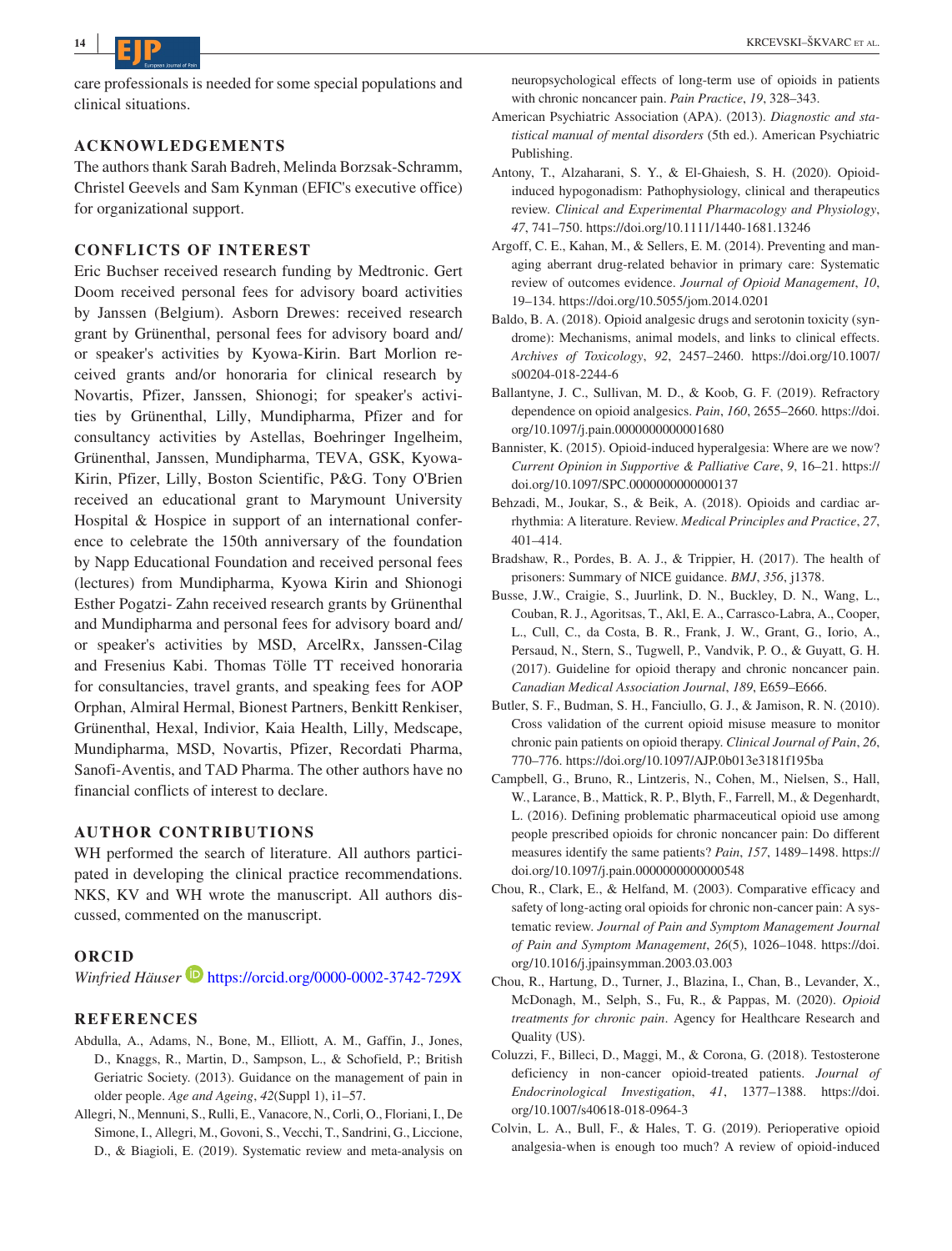care professionals is needed for some special populations and clinical situations.

### **ACKNOWLEDGEMENTS**

The authors thank Sarah Badreh, Melinda Borzsak-Schramm, Christel Geevels and Sam Kynman (EFIC's executive office) for organizational support.

## **CONFLICTS OF INTEREST**

Eric Buchser received research funding by Medtronic. Gert Doom received personal fees for advisory board activities by Janssen (Belgium). Asborn Drewes: received research grant by Grünenthal, personal fees for advisory board and/ or speaker's activities by Kyowa-Kirin. Bart Morlion received grants and/or honoraria for clinical research by Novartis, Pfizer, Janssen, Shionogi; for speaker's activities by Grünenthal, Lilly, Mundipharma, Pfizer and for consultancy activities by Astellas, Boehringer Ingelheim, Grünenthal, Janssen, Mundipharma, TEVA, GSK, Kyowa-Kirin, Pfizer, Lilly, Boston Scientific, P&G. Tony O'Brien received an educational grant to Marymount University Hospital & Hospice in support of an international conference to celebrate the 150th anniversary of the foundation by Napp Educational Foundation and received personal fees (lectures) from Mundipharma, Kyowa Kirin and Shionogi Esther Pogatzi- Zahn received research grants by Grünenthal and Mundipharma and personal fees for advisory board and/ or speaker's activities by MSD, ArcelRx, Janssen-Cilag and Fresenius Kabi. Thomas Tölle TT received honoraria for consultancies, travel grants, and speaking fees for AOP Orphan, Almiral Hermal, Bionest Partners, Benkitt Renkiser, Grünenthal, Hexal, Indivior, Kaia Health, Lilly, Medscape, Mundipharma, MSD, Novartis, Pfizer, Recordati Pharma, Sanofi-Aventis, and TAD Pharma. The other authors have no financial conflicts of interest to declare.

## **AUTHOR CONTRIBUTIONS**

WH performed the search of literature. All authors participated in developing the clinical practice recommendations. NKS, KV and WH wrote the manuscript. All authors discussed, commented on the manuscript.

## **ORCID**

*Winfried Häuser* **b** <https://orcid.org/0000-0002-3742-729X>

## **REFERENCES**

- Abdulla, A., Adams, N., Bone, M., Elliott, A. M., Gaffin, J., Jones, D., Knaggs, R., Martin, D., Sampson, L., & Schofield, P.; British Geriatric Society. (2013). Guidance on the management of pain in older people. *Age and Ageing*, *42*(Suppl 1), i1–57.
- Allegri, N., Mennuni, S., Rulli, E., Vanacore, N., Corli, O., Floriani, I., De Simone, I., Allegri, M., Govoni, S., Vecchi, T., Sandrini, G., Liccione, D., & Biagioli, E. (2019). Systematic review and meta-analysis on

neuropsychological effects of long-term use of opioids in patients with chronic noncancer pain. *Pain Practice*, *19*, 328–343.

- American Psychiatric Association (APA). (2013). *Diagnostic and statistical manual of mental disorders* (5th ed.). American Psychiatric Publishing.
- Antony, T., Alzaharani, S. Y., & El-Ghaiesh, S. H. (2020). Opioidinduced hypogonadism: Pathophysiology, clinical and therapeutics review. *Clinical and Experimental Pharmacology and Physiology*, *47*, 741–750. <https://doi.org/10.1111/1440-1681.13246>
- Argoff, C. E., Kahan, M., & Sellers, E. M. (2014). Preventing and managing aberrant drug-related behavior in primary care: Systematic review of outcomes evidence. *Journal of Opioid Management*, *10*, 19–134. <https://doi.org/10.5055/jom.2014.0201>
- Baldo, B. A. (2018). Opioid analgesic drugs and serotonin toxicity (syndrome): Mechanisms, animal models, and links to clinical effects. *Archives of Toxicology*, *92*, 2457–2460. [https://doi.org/10.1007/](https://doi.org/10.1007/s00204-018-2244-6) [s00204-018-2244-6](https://doi.org/10.1007/s00204-018-2244-6)
- Ballantyne, J. C., Sullivan, M. D., & Koob, G. F. (2019). Refractory dependence on opioid analgesics. *Pain*, *160*, 2655–2660. [https://doi.](https://doi.org/10.1097/j.pain.0000000000001680) [org/10.1097/j.pain.0000000000001680](https://doi.org/10.1097/j.pain.0000000000001680)
- Bannister, K. (2015). Opioid-induced hyperalgesia: Where are we now? *Current Opinion in Supportive & Palliative Care*, *9*, 16–21. [https://](https://doi.org/10.1097/SPC.0000000000000137) [doi.org/10.1097/SPC.0000000000000137](https://doi.org/10.1097/SPC.0000000000000137)
- Behzadi, M., Joukar, S., & Beik, A. (2018). Opioids and cardiac arrhythmia: A literature. Review. *Medical Principles and Practice*, *27*, 401–414.
- Bradshaw, R., Pordes, B. A. J., & Trippier, H. (2017). The health of prisoners: Summary of NICE guidance. *BMJ*, *356*, j1378.
- Busse, J.W., Craigie, S., Juurlink, D. N., Buckley, D. N., Wang, L., Couban, R. J., Agoritsas, T., Akl, E. A., Carrasco-Labra, A., Cooper, L., Cull, C., da Costa, B. R., Frank, J. W., Grant, G., Iorio, A., Persaud, N., Stern, S., Tugwell, P., Vandvik, P. O., & Guyatt, G. H. (2017). Guideline for opioid therapy and chronic noncancer pain. *Canadian Medical Association Journal*, *189*, E659–E666.
- Butler, S. F., Budman, S. H., Fanciullo, G. J., & Jamison, R. N. (2010). Cross validation of the current opioid misuse measure to monitor chronic pain patients on opioid therapy. *Clinical Journal of Pain*, *26*, 770–776.<https://doi.org/10.1097/AJP.0b013e3181f195ba>
- Campbell, G., Bruno, R., Lintzeris, N., Cohen, M., Nielsen, S., Hall, W., Larance, B., Mattick, R. P., Blyth, F., Farrell, M., & Degenhardt, L. (2016). Defining problematic pharmaceutical opioid use among people prescribed opioids for chronic noncancer pain: Do different measures identify the same patients? *Pain*, *157*, 1489–1498. [https://](https://doi.org/10.1097/j.pain.0000000000000548) [doi.org/10.1097/j.pain.0000000000000548](https://doi.org/10.1097/j.pain.0000000000000548)
- Chou, R., Clark, E., & Helfand, M. (2003). Comparative efficacy and safety of long-acting oral opioids for chronic non-cancer pain: A systematic review. *Journal of Pain and Symptom Management Journal of Pain and Symptom Management*, *26*(5), 1026–1048. [https://doi.](https://doi.org/10.1016/j.jpainsymman.2003.03.003) [org/10.1016/j.jpainsymman.2003.03.003](https://doi.org/10.1016/j.jpainsymman.2003.03.003)
- Chou, R., Hartung, D., Turner, J., Blazina, I., Chan, B., Levander, X., McDonagh, M., Selph, S., Fu, R., & Pappas, M. (2020). *Opioid treatments for chronic pain*. Agency for Healthcare Research and Quality (US).
- Coluzzi, F., Billeci, D., Maggi, M., & Corona, G. (2018). Testosterone deficiency in non-cancer opioid-treated patients. *Journal of Endocrinological Investigation*, *41*, 1377–1388. [https://doi.](https://doi.org/10.1007/s40618-018-0964-3) [org/10.1007/s40618-018-0964-3](https://doi.org/10.1007/s40618-018-0964-3)
- Colvin, L. A., Bull, F., & Hales, T. G. (2019). Perioperative opioid analgesia-when is enough too much? A review of opioid-induced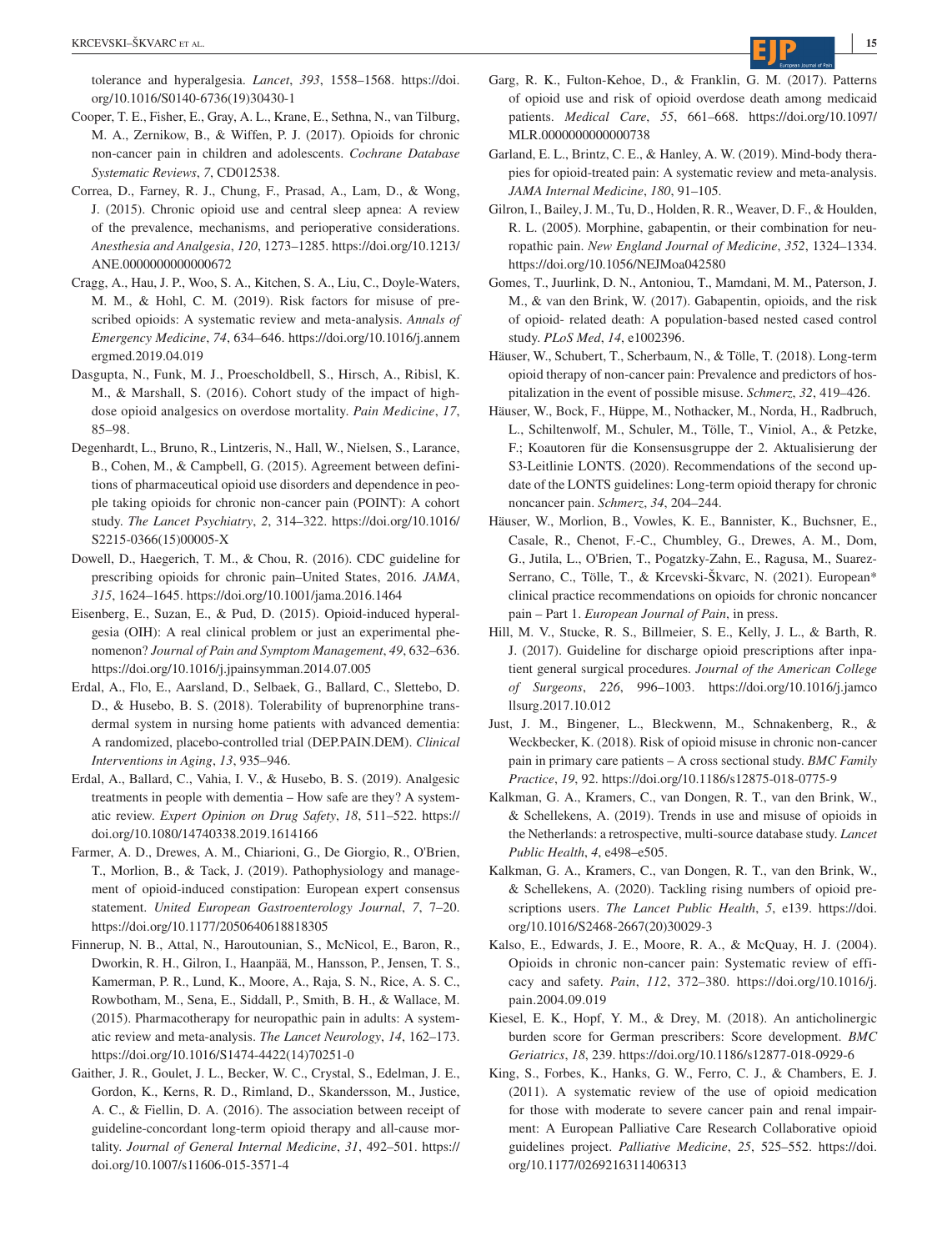tolerance and hyperalgesia. *Lancet*, *393*, 1558–1568. [https://doi.](https://doi.org/10.1016/S0140-6736(19)30430-1) [org/10.1016/S0140-6736\(19\)30430-1](https://doi.org/10.1016/S0140-6736(19)30430-1)

- Cooper, T. E., Fisher, E., Gray, A. L., Krane, E., Sethna, N., van Tilburg, M. A., Zernikow, B., & Wiffen, P. J. (2017). Opioids for chronic non-cancer pain in children and adolescents. *Cochrane Database Systematic Reviews*, *7*, CD012538.
- Correa, D., Farney, R. J., Chung, F., Prasad, A., Lam, D., & Wong, J. (2015). Chronic opioid use and central sleep apnea: A review of the prevalence, mechanisms, and perioperative considerations. *Anesthesia and Analgesia*, *120*, 1273–1285. [https://doi.org/10.1213/](https://doi.org/10.1213/ANE.0000000000000672) [ANE.0000000000000672](https://doi.org/10.1213/ANE.0000000000000672)
- Cragg, A., Hau, J. P., Woo, S. A., Kitchen, S. A., Liu, C., Doyle-Waters, M. M., & Hohl, C. M. (2019). Risk factors for misuse of prescribed opioids: A systematic review and meta-analysis. *Annals of Emergency Medicine*, *74*, 634–646. [https://doi.org/10.1016/j.annem](https://doi.org/10.1016/j.annemergmed.2019.04.019) [ergmed.2019.04.019](https://doi.org/10.1016/j.annemergmed.2019.04.019)
- Dasgupta, N., Funk, M. J., Proescholdbell, S., Hirsch, A., Ribisl, K. M., & Marshall, S. (2016). Cohort study of the impact of highdose opioid analgesics on overdose mortality. *Pain Medicine*, *17*, 85–98.
- Degenhardt, L., Bruno, R., Lintzeris, N., Hall, W., Nielsen, S., Larance, B., Cohen, M., & Campbell, G. (2015). Agreement between definitions of pharmaceutical opioid use disorders and dependence in people taking opioids for chronic non-cancer pain (POINT): A cohort study. *The Lancet Psychiatry*, *2*, 314–322. [https://doi.org/10.1016/](https://doi.org/10.1016/S2215-0366(15)00005-X) [S2215-0366\(15\)00005-X](https://doi.org/10.1016/S2215-0366(15)00005-X)
- Dowell, D., Haegerich, T. M., & Chou, R. (2016). CDC guideline for prescribing opioids for chronic pain–United States, 2016. *JAMA*, *315*, 1624–1645. <https://doi.org/10.1001/jama.2016.1464>
- Eisenberg, E., Suzan, E., & Pud, D. (2015). Opioid-induced hyperalgesia (OIH): A real clinical problem or just an experimental phenomenon? *Journal of Pain and Symptom Management*, *49*, 632–636. <https://doi.org/10.1016/j.jpainsymman.2014.07.005>
- Erdal, A., Flo, E., Aarsland, D., Selbaek, G., Ballard, C., Slettebo, D. D., & Husebo, B. S. (2018). Tolerability of buprenorphine transdermal system in nursing home patients with advanced dementia: A randomized, placebo-controlled trial (DEP.PAIN.DEM). *Clinical Interventions in Aging*, *13*, 935–946.
- Erdal, A., Ballard, C., Vahia, I. V., & Husebo, B. S. (2019). Analgesic treatments in people with dementia – How safe are they? A systematic review. *Expert Opinion on Drug Safety*, *18*, 511–522. [https://](https://doi.org/10.1080/14740338.2019.1614166) [doi.org/10.1080/14740338.2019.1614166](https://doi.org/10.1080/14740338.2019.1614166)
- Farmer, A. D., Drewes, A. M., Chiarioni, G., De Giorgio, R., O'Brien, T., Morlion, B., & Tack, J. (2019). Pathophysiology and management of opioid-induced constipation: European expert consensus statement. *United European Gastroenterology Journal*, *7*, 7–20. <https://doi.org/10.1177/2050640618818305>
- Finnerup, N. B., Attal, N., Haroutounian, S., McNicol, E., Baron, R., Dworkin, R. H., Gilron, I., Haanpää, M., Hansson, P., Jensen, T. S., Kamerman, P. R., Lund, K., Moore, A., Raja, S. N., Rice, A. S. C., Rowbotham, M., Sena, E., Siddall, P., Smith, B. H., & Wallace, M. (2015). Pharmacotherapy for neuropathic pain in adults: A systematic review and meta-analysis. *The Lancet Neurology*, *14*, 162–173. [https://doi.org/10.1016/S1474-4422\(14\)70251-0](https://doi.org/10.1016/S1474-4422(14)70251-0)
- Gaither, J. R., Goulet, J. L., Becker, W. C., Crystal, S., Edelman, J. E., Gordon, K., Kerns, R. D., Rimland, D., Skandersson, M., Justice, A. C., & Fiellin, D. A. (2016). The association between receipt of guideline-concordant long-term opioid therapy and all-cause mortality. *Journal of General Internal Medicine*, *31*, 492–501. [https://](https://doi.org/10.1007/s11606-015-3571-4) [doi.org/10.1007/s11606-015-3571-4](https://doi.org/10.1007/s11606-015-3571-4)
- Garg, R. K., Fulton-Kehoe, D., & Franklin, G. M. (2017). Patterns of opioid use and risk of opioid overdose death among medicaid patients. *Medical Care*, *55*, 661–668. [https://doi.org/10.1097/](https://doi.org/10.1097/MLR.0000000000000738) [MLR.0000000000000738](https://doi.org/10.1097/MLR.0000000000000738)
- Garland, E. L., Brintz, C. E., & Hanley, A. W. (2019). Mind-body therapies for opioid-treated pain: A systematic review and meta-analysis. *JAMA Internal Medicine*, *180*, 91–105.
- Gilron, I., Bailey, J. M., Tu, D., Holden, R. R., Weaver, D. F., & Houlden, R. L. (2005). Morphine, gabapentin, or their combination for neuropathic pain. *New England Journal of Medicine*, *352*, 1324–1334. <https://doi.org/10.1056/NEJMoa042580>
- Gomes, T., Juurlink, D. N., Antoniou, T., Mamdani, M. M., Paterson, J. M., & van den Brink, W. (2017). Gabapentin, opioids, and the risk of opioid- related death: A population-based nested cased control study. *PLoS Med*, *14*, e1002396.
- Häuser, W., Schubert, T., Scherbaum, N., & Tölle, T. (2018). Long-term opioid therapy of non-cancer pain: Prevalence and predictors of hospitalization in the event of possible misuse. *Schmerz*, *32*, 419–426.
- Häuser, W., Bock, F., Hüppe, M., Nothacker, M., Norda, H., Radbruch, L., Schiltenwolf, M., Schuler, M., Tölle, T., Viniol, A., & Petzke, F.; Koautoren für die Konsensusgruppe der 2. Aktualisierung der S3-Leitlinie LONTS. (2020). Recommendations of the second update of the LONTS guidelines: Long-term opioid therapy for chronic noncancer pain. *Schmerz*, *34*, 204–244.
- Häuser, W., Morlion, B., Vowles, K. E., Bannister, K., Buchsner, E., Casale, R., Chenot, F.-C., Chumbley, G., Drewes, A. M., Dom, G., Jutila, L., O'Brien, T., Pogatzky-Zahn, E., Ragusa, M., Suarez-Serrano, C., Tölle, T., & Krcevski-Škvarc, N. (2021). European\* clinical practice recommendations on opioids for chronic noncancer pain – Part 1. *European Journal of Pain*, in press.
- Hill, M. V., Stucke, R. S., Billmeier, S. E., Kelly, J. L., & Barth, R. J. (2017). Guideline for discharge opioid prescriptions after inpatient general surgical procedures. *Journal of the American College of Surgeons*, *226*, 996–1003. [https://doi.org/10.1016/j.jamco](https://doi.org/10.1016/j.jamcollsurg.2017.10.012) [llsurg.2017.10.012](https://doi.org/10.1016/j.jamcollsurg.2017.10.012)
- Just, J. M., Bingener, L., Bleckwenn, M., Schnakenberg, R., & Weckbecker, K. (2018). Risk of opioid misuse in chronic non-cancer pain in primary care patients – A cross sectional study. *BMC Family Practice*, *19*, 92. <https://doi.org/10.1186/s12875-018-0775-9>
- Kalkman, G. A., Kramers, C., van Dongen, R. T., van den Brink, W., & Schellekens, A. (2019). Trends in use and misuse of opioids in the Netherlands: a retrospective, multi-source database study. *Lancet Public Health*, *4*, e498–e505.
- Kalkman, G. A., Kramers, C., van Dongen, R. T., van den Brink, W., & Schellekens, A. (2020). Tackling rising numbers of opioid prescriptions users. *The Lancet Public Health*, *5*, e139. [https://doi.](https://doi.org/10.1016/S2468-2667(20)30029-3) [org/10.1016/S2468-2667\(20\)30029-3](https://doi.org/10.1016/S2468-2667(20)30029-3)
- Kalso, E., Edwards, J. E., Moore, R. A., & McQuay, H. J. (2004). Opioids in chronic non-cancer pain: Systematic review of efficacy and safety. *Pain*, *112*, 372–380. [https://doi.org/10.1016/j.](https://doi.org/10.1016/j.pain.2004.09.019) [pain.2004.09.019](https://doi.org/10.1016/j.pain.2004.09.019)
- Kiesel, E. K., Hopf, Y. M., & Drey, M. (2018). An anticholinergic burden score for German prescribers: Score development. *BMC Geriatrics*, *18*, 239.<https://doi.org/10.1186/s12877-018-0929-6>
- King, S., Forbes, K., Hanks, G. W., Ferro, C. J., & Chambers, E. J. (2011). A systematic review of the use of opioid medication for those with moderate to severe cancer pain and renal impairment: A European Palliative Care Research Collaborative opioid guidelines project. *Palliative Medicine*, *25*, 525–552. [https://doi.](https://doi.org/10.1177/0269216311406313) [org/10.1177/0269216311406313](https://doi.org/10.1177/0269216311406313)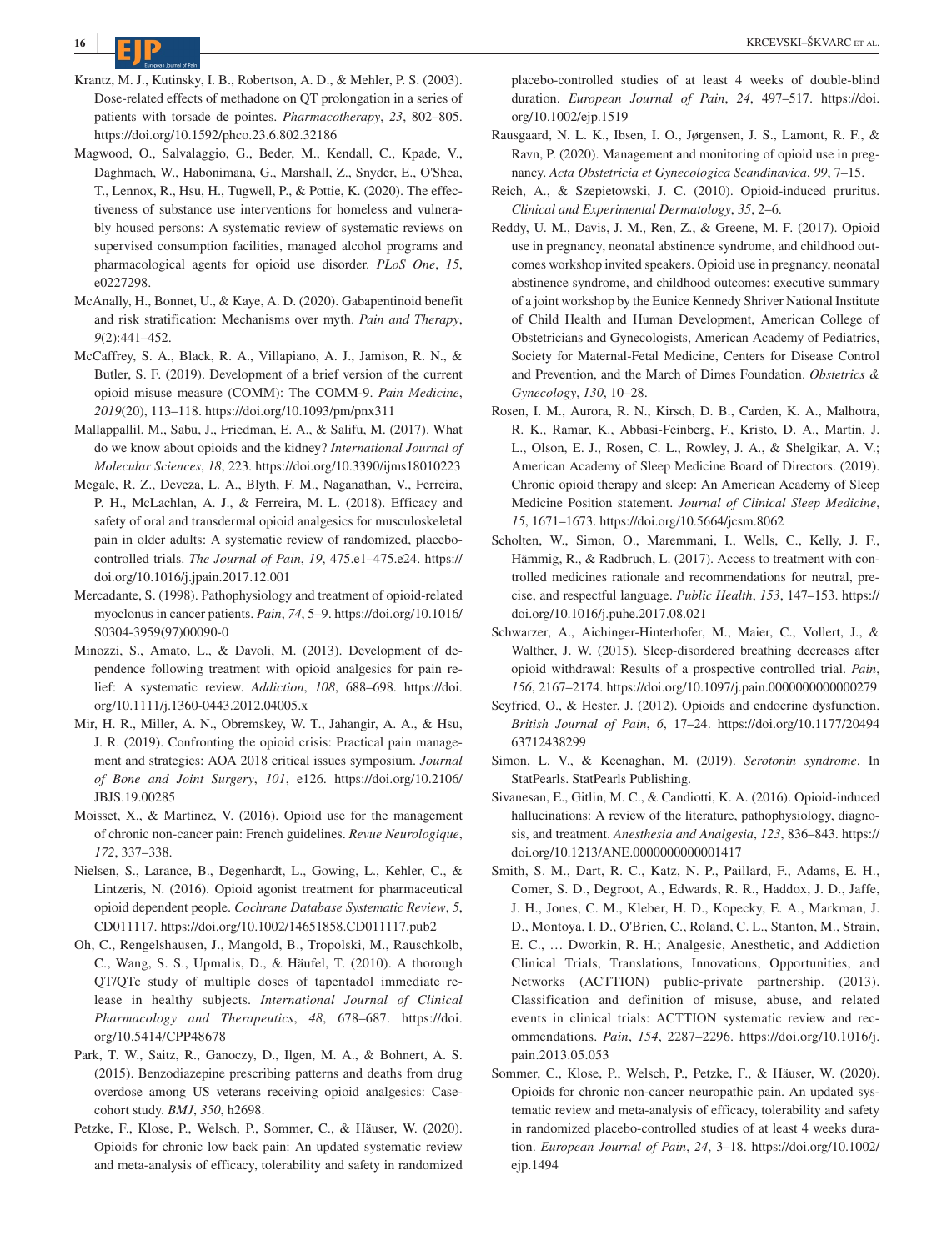

- Krantz, M. J., Kutinsky, I. B., Robertson, A. D., & Mehler, P. S. (2003). Dose-related effects of methadone on QT prolongation in a series of patients with torsade de pointes. *Pharmacotherapy*, *23*, 802–805. <https://doi.org/10.1592/phco.23.6.802.32186>
- Magwood, O., Salvalaggio, G., Beder, M., Kendall, C., Kpade, V., Daghmach, W., Habonimana, G., Marshall, Z., Snyder, E., O'Shea, T., Lennox, R., Hsu, H., Tugwell, P., & Pottie, K. (2020). The effectiveness of substance use interventions for homeless and vulnerably housed persons: A systematic review of systematic reviews on supervised consumption facilities, managed alcohol programs and pharmacological agents for opioid use disorder. *PLoS One*, *15*, e0227298.
- McAnally, H., Bonnet, U., & Kaye, A. D. (2020). Gabapentinoid benefit and risk stratification: Mechanisms over myth. *Pain and Therapy*, *9*(2):441–452.
- McCaffrey, S. A., Black, R. A., Villapiano, A. J., Jamison, R. N., & Butler, S. F. (2019). Development of a brief version of the current opioid misuse measure (COMM): The COMM-9. *Pain Medicine*, *2019*(20), 113–118.<https://doi.org/10.1093/pm/pnx311>
- Mallappallil, M., Sabu, J., Friedman, E. A., & Salifu, M. (2017). What do we know about opioids and the kidney? *International Journal of Molecular Sciences*, *18*, 223. <https://doi.org/10.3390/ijms18010223>
- Megale, R. Z., Deveza, L. A., Blyth, F. M., Naganathan, V., Ferreira, P. H., McLachlan, A. J., & Ferreira, M. L. (2018). Efficacy and safety of oral and transdermal opioid analgesics for musculoskeletal pain in older adults: A systematic review of randomized, placebocontrolled trials. *The Journal of Pain*, *19*, 475.e1–475.e24. [https://](https://doi.org/10.1016/j.jpain.2017.12.001) [doi.org/10.1016/j.jpain.2017.12.001](https://doi.org/10.1016/j.jpain.2017.12.001)
- Mercadante, S. (1998). Pathophysiology and treatment of opioid-related myoclonus in cancer patients. *Pain*, *74*, 5–9. [https://doi.org/10.1016/](https://doi.org/10.1016/S0304-3959(97)00090-0) [S0304-3959\(97\)00090-0](https://doi.org/10.1016/S0304-3959(97)00090-0)
- Minozzi, S., Amato, L., & Davoli, M. (2013). Development of dependence following treatment with opioid analgesics for pain relief: A systematic review. *Addiction*, *108*, 688–698. [https://doi.](https://doi.org/10.1111/j.1360-0443.2012.04005.x) [org/10.1111/j.1360-0443.2012.04005.x](https://doi.org/10.1111/j.1360-0443.2012.04005.x)
- Mir, H. R., Miller, A. N., Obremskey, W. T., Jahangir, A. A., & Hsu, J. R. (2019). Confronting the opioid crisis: Practical pain management and strategies: AOA 2018 critical issues symposium. *Journal of Bone and Joint Surgery*, *101*, e126. [https://doi.org/10.2106/](https://doi.org/10.2106/JBJS.19.00285) [JBJS.19.00285](https://doi.org/10.2106/JBJS.19.00285)
- Moisset, X., & Martinez, V. (2016). Opioid use for the management of chronic non-cancer pain: French guidelines. *Revue Neurologique*, *172*, 337–338.
- Nielsen, S., Larance, B., Degenhardt, L., Gowing, L., Kehler, C., & Lintzeris, N. (2016). Opioid agonist treatment for pharmaceutical opioid dependent people. *Cochrane Database Systematic Review*, *5*, CD011117. <https://doi.org/10.1002/14651858.CD011117.pub2>
- Oh, C., Rengelshausen, J., Mangold, B., Tropolski, M., Rauschkolb, C., Wang, S. S., Upmalis, D., & Häufel, T. (2010). A thorough QT/QTc study of multiple doses of tapentadol immediate release in healthy subjects. *International Journal of Clinical Pharmacology and Therapeutics*, *48*, 678–687. [https://doi.](https://doi.org/10.5414/CPP48678) [org/10.5414/CPP48678](https://doi.org/10.5414/CPP48678)
- Park, T. W., Saitz, R., Ganoczy, D., Ilgen, M. A., & Bohnert, A. S. (2015). Benzodiazepine prescribing patterns and deaths from drug overdose among US veterans receiving opioid analgesics: Casecohort study. *BMJ*, *350*, h2698.
- Petzke, F., Klose, P., Welsch, P., Sommer, C., & Häuser, W. (2020). Opioids for chronic low back pain: An updated systematic review and meta-analysis of efficacy, tolerability and safety in randomized

placebo-controlled studies of at least 4 weeks of double-blind duration. *European Journal of Pain*, *24*, 497–517. [https://doi.](https://doi.org/10.1002/ejp.1519) [org/10.1002/ejp.1519](https://doi.org/10.1002/ejp.1519)

- Rausgaard, N. L. K., Ibsen, I. O., Jørgensen, J. S., Lamont, R. F., & Ravn, P. (2020). Management and monitoring of opioid use in pregnancy. *Acta Obstetricia et Gynecologica Scandinavica*, *99*, 7–15.
- Reich, A., & Szepietowski, J. C. (2010). Opioid-induced pruritus. *Clinical and Experimental Dermatology*, *35*, 2–6.
- Reddy, U. M., Davis, J. M., Ren, Z., & Greene, M. F. (2017). Opioid use in pregnancy, neonatal abstinence syndrome, and childhood outcomes workshop invited speakers. Opioid use in pregnancy, neonatal abstinence syndrome, and childhood outcomes: executive summary of a joint workshop by the Eunice Kennedy Shriver National Institute of Child Health and Human Development, American College of Obstetricians and Gynecologists, American Academy of Pediatrics, Society for Maternal-Fetal Medicine, Centers for Disease Control and Prevention, and the March of Dimes Foundation. *Obstetrics & Gynecology*, *130*, 10–28.
- Rosen, I. M., Aurora, R. N., Kirsch, D. B., Carden, K. A., Malhotra, R. K., Ramar, K., Abbasi-Feinberg, F., Kristo, D. A., Martin, J. L., Olson, E. J., Rosen, C. L., Rowley, J. A., & Shelgikar, A. V.; American Academy of Sleep Medicine Board of Directors. (2019). Chronic opioid therapy and sleep: An American Academy of Sleep Medicine Position statement. *Journal of Clinical Sleep Medicine*, *15*, 1671–1673.<https://doi.org/10.5664/jcsm.8062>
- Scholten, W., Simon, O., Maremmani, I., Wells, C., Kelly, J. F., Hämmig, R., & Radbruch, L. (2017). Access to treatment with controlled medicines rationale and recommendations for neutral, precise, and respectful language. *Public Health*, *153*, 147–153. [https://](https://doi.org/10.1016/j.puhe.2017.08.021) [doi.org/10.1016/j.puhe.2017.08.021](https://doi.org/10.1016/j.puhe.2017.08.021)
- Schwarzer, A., Aichinger-Hinterhofer, M., Maier, C., Vollert, J., & Walther, J. W. (2015). Sleep-disordered breathing decreases after opioid withdrawal: Results of a prospective controlled trial. *Pain*, *156*, 2167–2174. <https://doi.org/10.1097/j.pain.0000000000000279>
- Seyfried, O., & Hester, J. (2012). Opioids and endocrine dysfunction. *British Journal of Pain*, *6*, 17–24. [https://doi.org/10.1177/20494](https://doi.org/10.1177/2049463712438299) [63712438299](https://doi.org/10.1177/2049463712438299)
- Simon, L. V., & Keenaghan, M. (2019). *Serotonin syndrome*. In StatPearls. StatPearls Publishing.
- Sivanesan, E., Gitlin, M. C., & Candiotti, K. A. (2016). Opioid-induced hallucinations: A review of the literature, pathophysiology, diagnosis, and treatment. *Anesthesia and Analgesia*, *123*, 836–843. [https://](https://doi.org/10.1213/ANE.0000000000001417) [doi.org/10.1213/ANE.0000000000001417](https://doi.org/10.1213/ANE.0000000000001417)
- Smith, S. M., Dart, R. C., Katz, N. P., Paillard, F., Adams, E. H., Comer, S. D., Degroot, A., Edwards, R. R., Haddox, J. D., Jaffe, J. H., Jones, C. M., Kleber, H. D., Kopecky, E. A., Markman, J. D., Montoya, I. D., O'Brien, C., Roland, C. L., Stanton, M., Strain, E. C., … Dworkin, R. H.; Analgesic, Anesthetic, and Addiction Clinical Trials, Translations, Innovations, Opportunities, and Networks (ACTTION) public-private partnership. (2013). Classification and definition of misuse, abuse, and related events in clinical trials: ACTTION systematic review and recommendations. *Pain*, *154*, 2287–2296. [https://doi.org/10.1016/j.](https://doi.org/10.1016/j.pain.2013.05.053) [pain.2013.05.053](https://doi.org/10.1016/j.pain.2013.05.053)
- Sommer, C., Klose, P., Welsch, P., Petzke, F., & Häuser, W. (2020). Opioids for chronic non-cancer neuropathic pain. An updated systematic review and meta-analysis of efficacy, tolerability and safety in randomized placebo-controlled studies of at least 4 weeks duration. *European Journal of Pain*, *24*, 3–18. [https://doi.org/10.1002/](https://doi.org/10.1002/ejp.1494) [ejp.1494](https://doi.org/10.1002/ejp.1494)